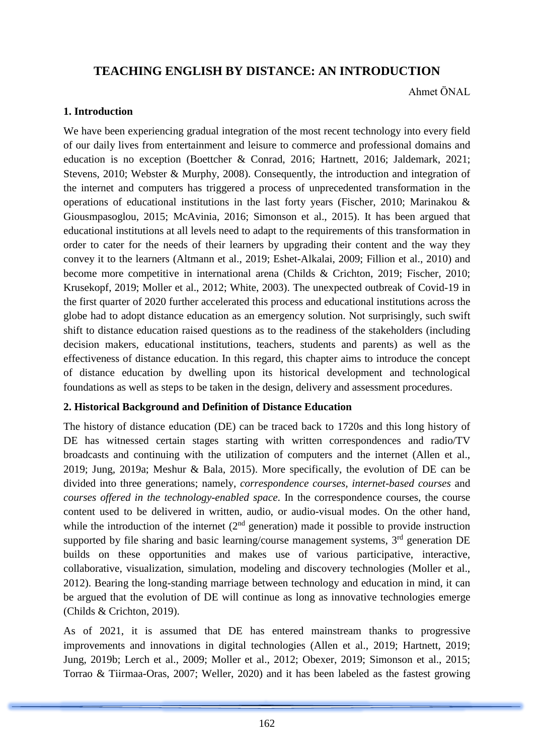# **TEACHING ENGLISH BY DISTANCE: AN INTRODUCTION**

Ahmet ÖNAL

### **1. Introduction**

We have been experiencing gradual integration of the most recent technology into every field of our daily lives from entertainment and leisure to commerce and professional domains and education is no exception (Boettcher & Conrad, 2016; Hartnett, 2016; Jaldemark, 2021; Stevens, 2010; Webster & Murphy, 2008). Consequently, the introduction and integration of the internet and computers has triggered a process of unprecedented transformation in the operations of educational institutions in the last forty years (Fischer, 2010; Marinakou & Giousmpasoglou, 2015; McAvinia, 2016; Simonson et al., 2015). It has been argued that educational institutions at all levels need to adapt to the requirements of this transformation in order to cater for the needs of their learners by upgrading their content and the way they convey it to the learners (Altmann et al., 2019; Eshet-Alkalai, 2009; Fillion et al., 2010) and become more competitive in international arena (Childs & Crichton, 2019; Fischer, 2010; Krusekopf, 2019; Moller et al., 2012; White, 2003). The unexpected outbreak of Covid-19 in the first quarter of 2020 further accelerated this process and educational institutions across the globe had to adopt distance education as an emergency solution. Not surprisingly, such swift shift to distance education raised questions as to the readiness of the stakeholders (including decision makers, educational institutions, teachers, students and parents) as well as the effectiveness of distance education. In this regard, this chapter aims to introduce the concept of distance education by dwelling upon its historical development and technological foundations as well as steps to be taken in the design, delivery and assessment procedures.

## **2. Historical Background and Definition of Distance Education**

The history of distance education (DE) can be traced back to 1720s and this long history of DE has witnessed certain stages starting with written correspondences and radio/TV broadcasts and continuing with the utilization of computers and the internet (Allen et al., 2019; Jung, 2019a; Meshur & Bala, 2015). More specifically, the evolution of DE can be divided into three generations; namely, *correspondence courses, internet-based courses* and *courses offered in the technology-enabled space*. In the correspondence courses, the course content used to be delivered in written, audio, or audio-visual modes. On the other hand, while the introduction of the internet  $(2<sup>nd</sup>$  generation) made it possible to provide instruction supported by file sharing and basic learning/course management systems, 3<sup>rd</sup> generation DE builds on these opportunities and makes use of various participative, interactive, collaborative, visualization, simulation, modeling and discovery technologies (Moller et al., 2012). Bearing the long-standing marriage between technology and education in mind, it can be argued that the evolution of DE will continue as long as innovative technologies emerge (Childs & Crichton, 2019).

As of 2021, it is assumed that DE has entered mainstream thanks to progressive improvements and innovations in digital technologies (Allen et al., 2019; Hartnett, 2019; Jung, 2019b; Lerch et al., 2009; Moller et al., 2012; Obexer, 2019; Simonson et al., 2015; Torrao & Tiirmaa-Oras, 2007; Weller, 2020) and it has been labeled as the fastest growing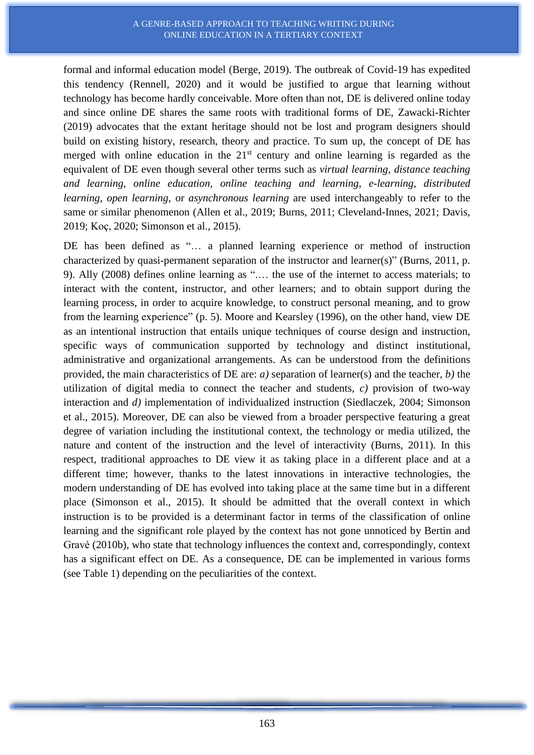formal and informal education model (Berge, 2019). The outbreak of Covid-19 has expedited this tendency (Rennell, 2020) and it would be justified to argue that learning without technology has become hardly conceivable. More often than not, DE is delivered online today and since online DE shares the same roots with traditional forms of DE, Zawacki-Richter (2019) advocates that the extant heritage should not be lost and program designers should build on existing history, research, theory and practice. To sum up, the concept of DE has merged with online education in the  $21<sup>st</sup>$  century and online learning is regarded as the equivalent of DE even though several other terms such as *virtual learning, distance teaching and learning, online education, online teaching and learning, e-learning, distributed learning, open learning,* or *asynchronous learning* are used interchangeably to refer to the same or similar phenomenon (Allen et al., 2019; Burns, 2011; Cleveland-Innes, 2021; Davis, 2019; Koç, 2020; Simonson et al., 2015).

DE has been defined as "... a planned learning experience or method of instruction characterized by quasi-permanent separation of the instructor and learner(s)" (Burns, 2011, p. 9). Ally (2008) defines online learning as ".… the use of the internet to access materials; to interact with the content, instructor, and other learners; and to obtain support during the learning process, in order to acquire knowledge, to construct personal meaning, and to grow from the learning experience" (p. 5). Moore and Kearsley (1996), on the other hand, view DE as an intentional instruction that entails unique techniques of course design and instruction, specific ways of communication supported by technology and distinct institutional, administrative and organizational arrangements. As can be understood from the definitions provided, the main characteristics of DE are: *a)* separation of learner(s) and the teacher, *b)* the utilization of digital media to connect the teacher and students, *c)* provision of two-way interaction and *d)* implementation of individualized instruction (Siedlaczek, 2004; Simonson et al., 2015). Moreover, DE can also be viewed from a broader perspective featuring a great degree of variation including the institutional context, the technology or media utilized, the nature and content of the instruction and the level of interactivity (Burns, 2011). In this respect, traditional approaches to DE view it as taking place in a different place and at a different time; however, thanks to the latest innovations in interactive technologies, the modern understanding of DE has evolved into taking place at the same time but in a different place (Simonson et al., 2015). It should be admitted that the overall context in which instruction is to be provided is a determinant factor in terms of the classification of online learning and the significant role played by the context has not gone unnoticed by Bertin and Gravé (2010b), who state that technology influences the context and, correspondingly, context has a significant effect on DE. As a consequence, DE can be implemented in various forms (see Table 1) depending on the peculiarities of the context.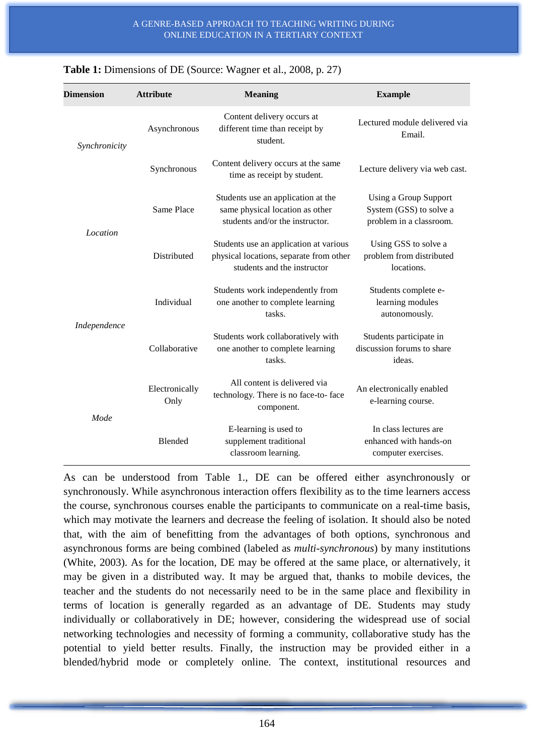| <b>Dimension</b> | <b>Attribute</b>       | <b>Meaning</b>                                                                                                   | <b>Example</b>                                                                     |
|------------------|------------------------|------------------------------------------------------------------------------------------------------------------|------------------------------------------------------------------------------------|
| Synchronicity    | Asynchronous           | Content delivery occurs at<br>different time than receipt by<br>student.                                         | Lectured module delivered via<br>Email.                                            |
|                  | Synchronous            | Content delivery occurs at the same<br>time as receipt by student.                                               | Lecture delivery via web cast.                                                     |
| Location         | Same Place             | Students use an application at the<br>same physical location as other<br>students and/or the instructor.         | <b>Using a Group Support</b><br>System (GSS) to solve a<br>problem in a classroom. |
|                  | Distributed            | Students use an application at various<br>physical locations, separate from other<br>students and the instructor | Using GSS to solve a<br>problem from distributed<br>locations.                     |
| Independence     | Individual             | Students work independently from<br>one another to complete learning<br>tasks.                                   | Students complete e-<br>learning modules<br>autonomously.                          |
|                  | Collaborative          | Students work collaboratively with<br>one another to complete learning<br>tasks.                                 | Students participate in<br>discussion forums to share<br>ideas.                    |
| Mode             | Electronically<br>Only | All content is delivered via<br>technology. There is no face-to- face<br>component.                              | An electronically enabled<br>e-learning course.                                    |
|                  | Blended                | E-learning is used to<br>supplement traditional<br>classroom learning.                                           | In class lectures are<br>enhanced with hands-on<br>computer exercises.             |

| <b>Table 1:</b> Dimensions of DE (Source: Wagner et al., 2008, p. 27) |  |  |  |
|-----------------------------------------------------------------------|--|--|--|
|-----------------------------------------------------------------------|--|--|--|

As can be understood from Table 1., DE can be offered either asynchronously or synchronously. While asynchronous interaction offers flexibility as to the time learners access the course, synchronous courses enable the participants to communicate on a real-time basis, which may motivate the learners and decrease the feeling of isolation. It should also be noted that, with the aim of benefitting from the advantages of both options, synchronous and asynchronous forms are being combined (labeled as *multi-synchronous*) by many institutions (White, 2003). As for the location, DE may be offered at the same place, or alternatively, it may be given in a distributed way. It may be argued that, thanks to mobile devices, the teacher and the students do not necessarily need to be in the same place and flexibility in terms of location is generally regarded as an advantage of DE. Students may study individually or collaboratively in DE; however, considering the widespread use of social networking technologies and necessity of forming a community, collaborative study has the potential to yield better results. Finally, the instruction may be provided either in a blended/hybrid mode or completely online. The context, institutional resources and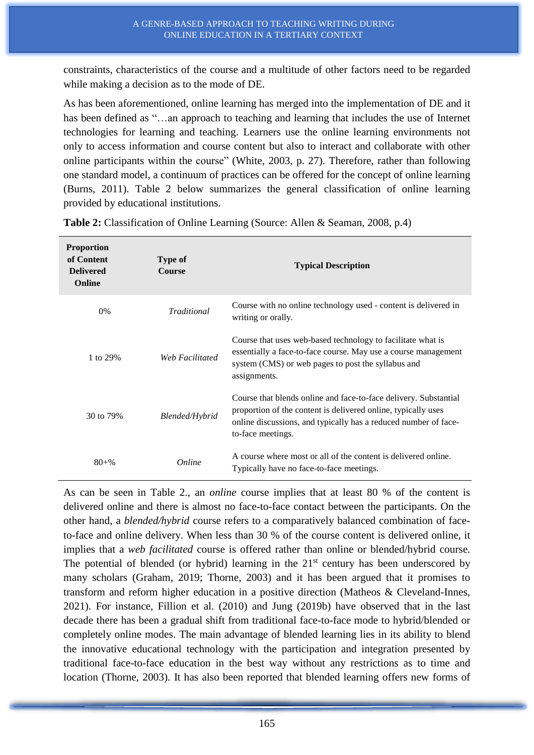constraints, characteristics of the course and a multitude of other factors need to be regarded while making a decision as to the mode of DE.

As has been aforementioned, online learning has merged into the implementation of DE and it has been defined as "...an approach to teaching and learning that includes the use of Internet technologies for learning and teaching. Learners use the online learning environments not only to access information and course content but also to interact and collaborate with other online participants within the course" (White, 2003, p. 27). Therefore, rather than following one standard model, a continuum of practices can be offered for the concept of online learning (Burns, 2011). Table 2 below summarizes the general classification of online learning provided by educational institutions.

| <b>Proportion</b><br>of Content<br><b>Delivered</b><br>Online | <b>Type of</b><br><b>Course</b> | <b>Typical Description</b>                                                                                                                                                                                                |
|---------------------------------------------------------------|---------------------------------|---------------------------------------------------------------------------------------------------------------------------------------------------------------------------------------------------------------------------|
| 0%                                                            | <b>Traditional</b>              | Course with no online technology used - content is delivered in<br>writing or orally.                                                                                                                                     |
| 1 to 29%                                                      | Web Facilitated                 | Course that uses web-based technology to facilitate what is<br>essentially a face-to-face course. May use a course management<br>system (CMS) or web pages to post the syllabus and<br>assignments.                       |
| 30 to 79%                                                     | Blended/Hybrid                  | Course that blends online and face-to-face delivery. Substantial<br>proportion of the content is delivered online, typically uses<br>online discussions, and typically has a reduced number of face-<br>to-face meetings. |
| $80 + \%$                                                     | Online                          | A course where most or all of the content is delivered online.<br>Typically have no face-to-face meetings.                                                                                                                |

**Table 2:** Classification of Online Learning (Source: Allen & Seaman, 2008, p.4)

As can be seen in Table 2., an *online* course implies that at least 80 % of the content is delivered online and there is almost no face-to-face contact between the participants. On the other hand, a *blended/hybrid* course refers to a comparatively balanced combination of faceto-face and online delivery. When less than 30 % of the course content is delivered online, it implies that a *web facilitated* course is offered rather than online or blended/hybrid course. The potential of blended (or hybrid) learning in the  $21<sup>st</sup>$  century has been underscored by many scholars (Graham, 2019; Thorne, 2003) and it has been argued that it promises to transform and reform higher education in a positive direction (Matheos & Cleveland-Innes, 2021). For instance, Fillion et al. (2010) and Jung (2019b) have observed that in the last decade there has been a gradual shift from traditional face-to-face mode to hybrid/blended or completely online modes. The main advantage of blended learning lies in its ability to blend the innovative educational technology with the participation and integration presented by traditional face-to-face education in the best way without any restrictions as to time and location (Thorne, 2003). It has also been reported that blended learning offers new forms of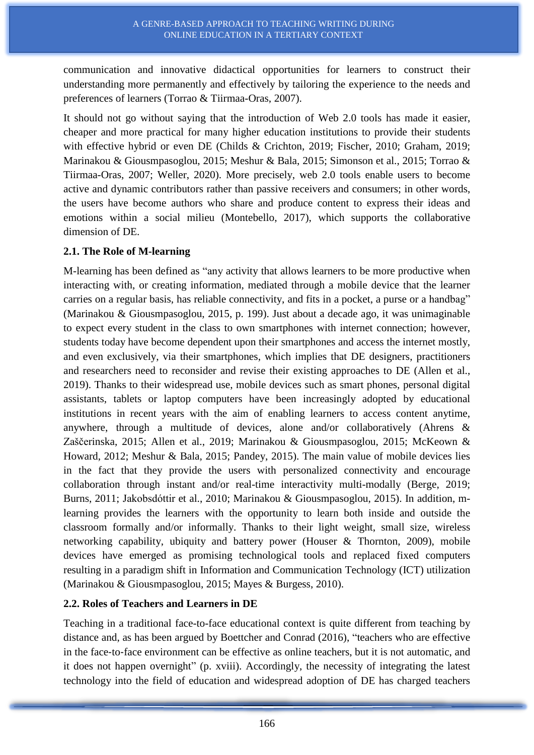communication and innovative didactical opportunities for learners to construct their understanding more permanently and effectively by tailoring the experience to the needs and preferences of learners (Torrao & Tiirmaa-Oras, 2007).

It should not go without saying that the introduction of Web 2.0 tools has made it easier, cheaper and more practical for many higher education institutions to provide their students with effective hybrid or even DE (Childs & Crichton, 2019; Fischer, 2010; Graham, 2019; Marinakou & Giousmpasoglou, 2015; Meshur & Bala, 2015; Simonson et al., 2015; Torrao & Tiirmaa-Oras, 2007; Weller, 2020). More precisely, web 2.0 tools enable users to become active and dynamic contributors rather than passive receivers and consumers; in other words, the users have become authors who share and produce content to express their ideas and emotions within a social milieu (Montebello, 2017), which supports the collaborative dimension of DE.

### **2.1. The Role of M-learning**

M-learning has been defined as "any activity that allows learners to be more productive when interacting with, or creating information, mediated through a mobile device that the learner carries on a regular basis, has reliable connectivity, and fits in a pocket, a purse or a handbag" (Marinakou & Giousmpasoglou, 2015, p. 199). Just about a decade ago, it was unimaginable to expect every student in the class to own smartphones with internet connection; however, students today have become dependent upon their smartphones and access the internet mostly, and even exclusively, via their smartphones, which implies that DE designers, practitioners and researchers need to reconsider and revise their existing approaches to DE (Allen et al., 2019). Thanks to their widespread use, mobile devices such as smart phones, personal digital assistants, tablets or laptop computers have been increasingly adopted by educational institutions in recent years with the aim of enabling learners to access content anytime, anywhere, through a multitude of devices, alone and/or collaboratively (Ahrens & Zaščerinska, 2015; Allen et al., 2019; Marinakou & Giousmpasoglou, 2015; McKeown & Howard, 2012; Meshur & Bala, 2015; Pandey, 2015). The main value of mobile devices lies in the fact that they provide the users with personalized connectivity and encourage collaboration through instant and/or real-time interactivity multi-modally (Berge, 2019; Burns, 2011; Jakobsdóttir et al., 2010; Marinakou & Giousmpasoglou, 2015). In addition, mlearning provides the learners with the opportunity to learn both inside and outside the classroom formally and/or informally. Thanks to their light weight, small size, wireless networking capability, ubiquity and battery power (Houser & Thornton, 2009), mobile devices have emerged as promising technological tools and replaced fixed computers resulting in a paradigm shift in Information and Communication Technology (ICT) utilization (Marinakou & Giousmpasoglou, 2015; Mayes & Burgess, 2010).

## **2.2. Roles of Teachers and Learners in DE**

Teaching in a traditional face-to-face educational context is quite different from teaching by distance and, as has been argued by Boettcher and Conrad (2016), "teachers who are effective in the face‐to‐face environment can be effective as online teachers, but it is not automatic, and it does not happen overnight" (p. xviii). Accordingly, the necessity of integrating the latest technology into the field of education and widespread adoption of DE has charged teachers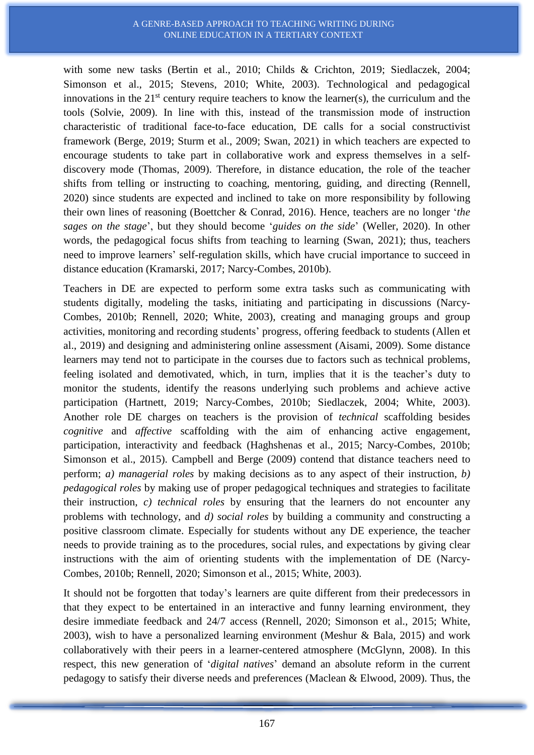#### A GENRE-BASED APPROACH TO TEACHING WRITING DURING ONLINE EDUCATION IN A TERTIARY CONTEXT

with some new tasks (Bertin et al., 2010; Childs & Crichton, 2019; Siedlaczek, 2004; Simonson et al., 2015; Stevens, 2010; White, 2003). Technological and pedagogical innovations in the  $21<sup>st</sup>$  century require teachers to know the learner(s), the curriculum and the tools (Solvie, 2009). In line with this, instead of the transmission mode of instruction characteristic of traditional face-to-face education, DE calls for a social constructivist framework (Berge, 2019; Sturm et al., 2009; Swan, 2021) in which teachers are expected to encourage students to take part in collaborative work and express themselves in a selfdiscovery mode (Thomas, 2009). Therefore, in distance education, the role of the teacher shifts from telling or instructing to coaching, mentoring, guiding, and directing (Rennell, 2020) since students are expected and inclined to take on more responsibility by following their own lines of reasoning (Boettcher & Conrad, 2016). Hence, teachers are no longer '*the sages on the stage*', but they should become '*guides on the side*' (Weller, 2020). In other words, the pedagogical focus shifts from teaching to learning (Swan, 2021); thus, teachers need to improve learners' self-regulation skills, which have crucial importance to succeed in distance education (Kramarski, 2017; Narcy-Combes, 2010b).

Teachers in DE are expected to perform some extra tasks such as communicating with students digitally, modeling the tasks, initiating and participating in discussions (Narcy-Combes, 2010b; Rennell, 2020; White, 2003), creating and managing groups and group activities, monitoring and recording students' progress, offering feedback to students (Allen et al., 2019) and designing and administering online assessment (Aisami, 2009). Some distance learners may tend not to participate in the courses due to factors such as technical problems, feeling isolated and demotivated, which, in turn, implies that it is the teacher's duty to monitor the students, identify the reasons underlying such problems and achieve active participation (Hartnett, 2019; Narcy-Combes, 2010b; Siedlaczek, 2004; White, 2003). Another role DE charges on teachers is the provision of *technical* scaffolding besides *cognitive* and *affective* scaffolding with the aim of enhancing active engagement, participation, interactivity and feedback (Haghshenas et al., 2015; Narcy-Combes, 2010b; Simonson et al., 2015). Campbell and Berge (2009) contend that distance teachers need to perform; *a) managerial roles* by making decisions as to any aspect of their instruction, *b) pedagogical roles* by making use of proper pedagogical techniques and strategies to facilitate their instruction, *c) technical roles* by ensuring that the learners do not encounter any problems with technology, and *d) social roles* by building a community and constructing a positive classroom climate. Especially for students without any DE experience, the teacher needs to provide training as to the procedures, social rules, and expectations by giving clear instructions with the aim of orienting students with the implementation of DE (Narcy-Combes, 2010b; Rennell, 2020; Simonson et al., 2015; White, 2003).

It should not be forgotten that today's learners are quite different from their predecessors in that they expect to be entertained in an interactive and funny learning environment, they desire immediate feedback and 24/7 access (Rennell, 2020; Simonson et al., 2015; White, 2003), wish to have a personalized learning environment (Meshur & Bala, 2015) and work collaboratively with their peers in a learner-centered atmosphere (McGlynn, 2008). In this respect, this new generation of '*digital natives*' demand an absolute reform in the current pedagogy to satisfy their diverse needs and preferences (Maclean & Elwood, 2009). Thus, the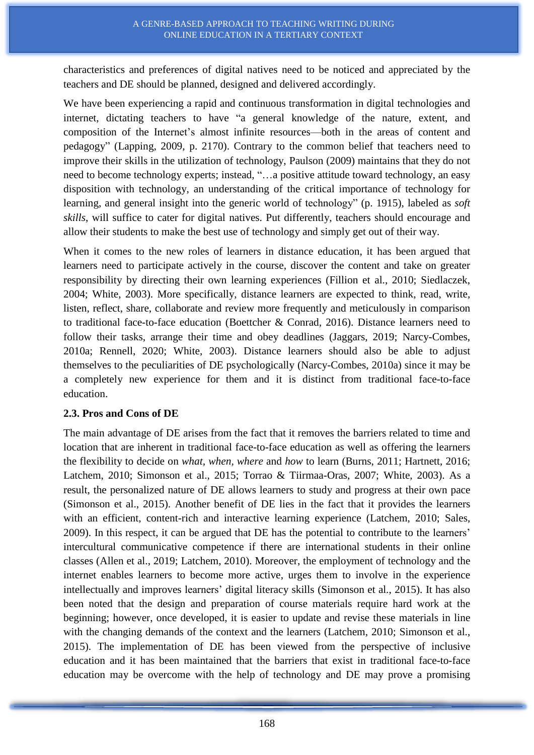characteristics and preferences of digital natives need to be noticed and appreciated by the teachers and DE should be planned, designed and delivered accordingly.

We have been experiencing a rapid and continuous transformation in digital technologies and internet, dictating teachers to have "a general knowledge of the nature, extent, and composition of the Internet's almost infinite resources—both in the areas of content and pedagogy" (Lapping, 2009, p. 2170). Contrary to the common belief that teachers need to improve their skills in the utilization of technology, Paulson (2009) maintains that they do not need to become technology experts; instead, "…a positive attitude toward technology, an easy disposition with technology, an understanding of the critical importance of technology for learning, and general insight into the generic world of technology" (p. 1915), labeled as *soft skills*, will suffice to cater for digital natives. Put differently, teachers should encourage and allow their students to make the best use of technology and simply get out of their way.

When it comes to the new roles of learners in distance education, it has been argued that learners need to participate actively in the course, discover the content and take on greater responsibility by directing their own learning experiences (Fillion et al., 2010; Siedlaczek, 2004; White, 2003). More specifically, distance learners are expected to think, read, write, listen, reflect, share, collaborate and review more frequently and meticulously in comparison to traditional face-to-face education (Boettcher & Conrad, 2016). Distance learners need to follow their tasks, arrange their time and obey deadlines (Jaggars, 2019; Narcy-Combes, 2010a; Rennell, 2020; White, 2003). Distance learners should also be able to adjust themselves to the peculiarities of DE psychologically (Narcy-Combes, 2010a) since it may be a completely new experience for them and it is distinct from traditional face-to-face education.

## **2.3. Pros and Cons of DE**

The main advantage of DE arises from the fact that it removes the barriers related to time and location that are inherent in traditional face-to-face education as well as offering the learners the flexibility to decide on *what, when, where* and *how* to learn (Burns, 2011; Hartnett, 2016; Latchem, 2010; Simonson et al., 2015; Torrao & Tiirmaa-Oras, 2007; White, 2003). As a result, the personalized nature of DE allows learners to study and progress at their own pace (Simonson et al., 2015). Another benefit of DE lies in the fact that it provides the learners with an efficient, content-rich and interactive learning experience (Latchem, 2010; Sales, 2009). In this respect, it can be argued that DE has the potential to contribute to the learners' intercultural communicative competence if there are international students in their online classes (Allen et al., 2019; Latchem, 2010). Moreover, the employment of technology and the internet enables learners to become more active, urges them to involve in the experience intellectually and improves learners' digital literacy skills (Simonson et al., 2015). It has also been noted that the design and preparation of course materials require hard work at the beginning; however, once developed, it is easier to update and revise these materials in line with the changing demands of the context and the learners (Latchem, 2010; Simonson et al., 2015). The implementation of DE has been viewed from the perspective of inclusive education and it has been maintained that the barriers that exist in traditional face-to-face education may be overcome with the help of technology and DE may prove a promising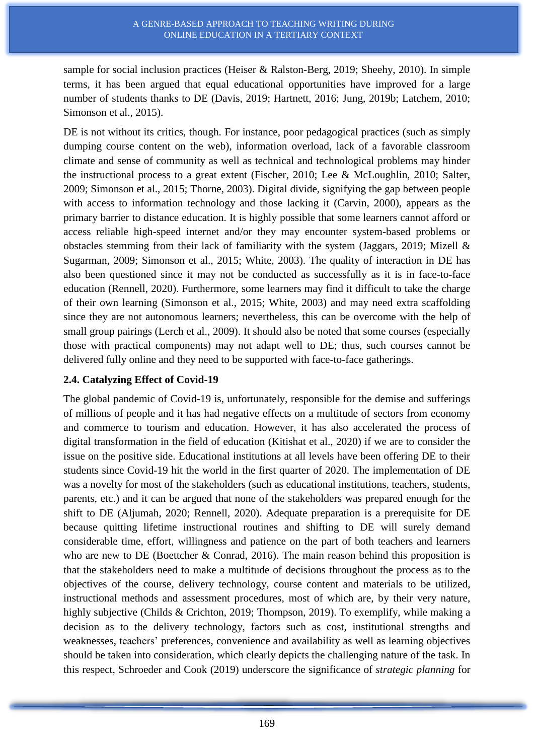sample for social inclusion practices (Heiser & Ralston-Berg, 2019; Sheehy, 2010). In simple terms, it has been argued that equal educational opportunities have improved for a large number of students thanks to DE (Davis, 2019; Hartnett, 2016; Jung, 2019b; Latchem, 2010; Simonson et al., 2015).

DE is not without its critics, though. For instance, poor pedagogical practices (such as simply dumping course content on the web), information overload, lack of a favorable classroom climate and sense of community as well as technical and technological problems may hinder the instructional process to a great extent (Fischer, 2010; Lee & McLoughlin, 2010; Salter, 2009; Simonson et al., 2015; Thorne, 2003). Digital divide, signifying the gap between people with access to information technology and those lacking it (Carvin, 2000), appears as the primary barrier to distance education. It is highly possible that some learners cannot afford or access reliable high-speed internet and/or they may encounter system-based problems or obstacles stemming from their lack of familiarity with the system (Jaggars, 2019; Mizell & Sugarman, 2009; Simonson et al., 2015; White, 2003). The quality of interaction in DE has also been questioned since it may not be conducted as successfully as it is in face-to-face education (Rennell, 2020). Furthermore, some learners may find it difficult to take the charge of their own learning (Simonson et al., 2015; White, 2003) and may need extra scaffolding since they are not autonomous learners; nevertheless, this can be overcome with the help of small group pairings (Lerch et al., 2009). It should also be noted that some courses (especially those with practical components) may not adapt well to DE; thus, such courses cannot be delivered fully online and they need to be supported with face-to-face gatherings.

## **2.4. Catalyzing Effect of Covid-19**

The global pandemic of Covid-19 is, unfortunately, responsible for the demise and sufferings of millions of people and it has had negative effects on a multitude of sectors from economy and commerce to tourism and education. However, it has also accelerated the process of digital transformation in the field of education (Kitishat et al., 2020) if we are to consider the issue on the positive side. Educational institutions at all levels have been offering DE to their students since Covid-19 hit the world in the first quarter of 2020. The implementation of DE was a novelty for most of the stakeholders (such as educational institutions, teachers, students, parents, etc.) and it can be argued that none of the stakeholders was prepared enough for the shift to DE (Aljumah, 2020; Rennell, 2020). Adequate preparation is a prerequisite for DE because quitting lifetime instructional routines and shifting to DE will surely demand considerable time, effort, willingness and patience on the part of both teachers and learners who are new to DE (Boettcher & Conrad, 2016). The main reason behind this proposition is that the stakeholders need to make a multitude of decisions throughout the process as to the objectives of the course, delivery technology, course content and materials to be utilized, instructional methods and assessment procedures, most of which are, by their very nature, highly subjective (Childs & Crichton, 2019; Thompson, 2019). To exemplify, while making a decision as to the delivery technology, factors such as cost, institutional strengths and weaknesses, teachers' preferences, convenience and availability as well as learning objectives should be taken into consideration, which clearly depicts the challenging nature of the task. In this respect, Schroeder and Cook (2019) underscore the significance of *strategic planning* for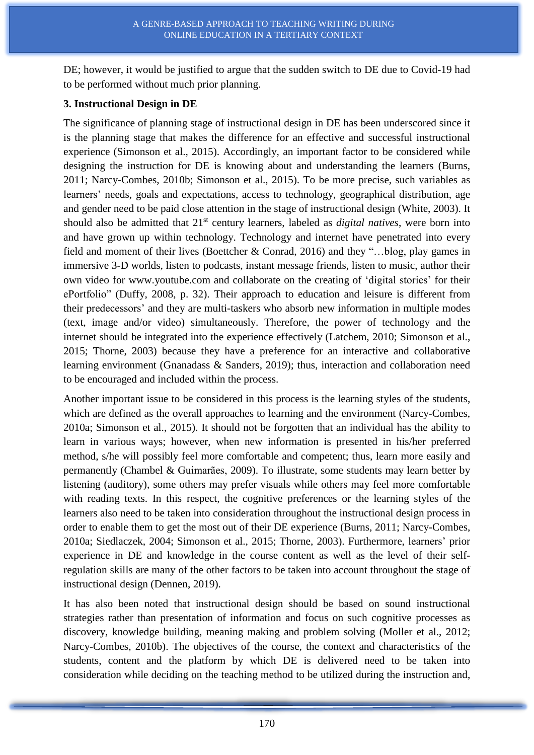DE; however, it would be justified to argue that the sudden switch to DE due to Covid-19 had to be performed without much prior planning.

### **3. Instructional Design in DE**

The significance of planning stage of instructional design in DE has been underscored since it is the planning stage that makes the difference for an effective and successful instructional experience (Simonson et al., 2015). Accordingly, an important factor to be considered while designing the instruction for DE is knowing about and understanding the learners (Burns, 2011; Narcy-Combes, 2010b; Simonson et al., 2015). To be more precise, such variables as learners' needs, goals and expectations, access to technology, geographical distribution, age and gender need to be paid close attention in the stage of instructional design (White, 2003). It should also be admitted that 21st century learners, labeled as *digital natives*, were born into and have grown up within technology. Technology and internet have penetrated into every field and moment of their lives (Boettcher & Conrad, 2016) and they "…blog, play games in immersive 3-D worlds, listen to podcasts, instant message friends, listen to music, author their own video for [www.youtube.com](http://www.youtube.com/) and collaborate on the creating of 'digital stories' for their ePortfolio" (Duffy, 2008, p. 32). Their approach to education and leisure is different from their predecessors' and they are multi-taskers who absorb new information in multiple modes (text, image and/or video) simultaneously. Therefore, the power of technology and the internet should be integrated into the experience effectively (Latchem, 2010; Simonson et al., 2015; Thorne, 2003) because they have a preference for an interactive and collaborative learning environment (Gnanadass & Sanders, 2019); thus, interaction and collaboration need to be encouraged and included within the process.

Another important issue to be considered in this process is the learning styles of the students, which are defined as the overall approaches to learning and the environment (Narcy-Combes, 2010a; Simonson et al., 2015). It should not be forgotten that an individual has the ability to learn in various ways; however, when new information is presented in his/her preferred method, s/he will possibly feel more comfortable and competent; thus, learn more easily and permanently (Chambel & Guimarães, 2009). To illustrate, some students may learn better by listening (auditory), some others may prefer visuals while others may feel more comfortable with reading texts. In this respect, the cognitive preferences or the learning styles of the learners also need to be taken into consideration throughout the instructional design process in order to enable them to get the most out of their DE experience (Burns, 2011; Narcy-Combes, 2010a; Siedlaczek, 2004; Simonson et al., 2015; Thorne, 2003). Furthermore, learners' prior experience in DE and knowledge in the course content as well as the level of their selfregulation skills are many of the other factors to be taken into account throughout the stage of instructional design (Dennen, 2019).

It has also been noted that instructional design should be based on sound instructional strategies rather than presentation of information and focus on such cognitive processes as discovery, knowledge building, meaning making and problem solving (Moller et al., 2012; Narcy-Combes, 2010b). The objectives of the course, the context and characteristics of the students, content and the platform by which DE is delivered need to be taken into consideration while deciding on the teaching method to be utilized during the instruction and,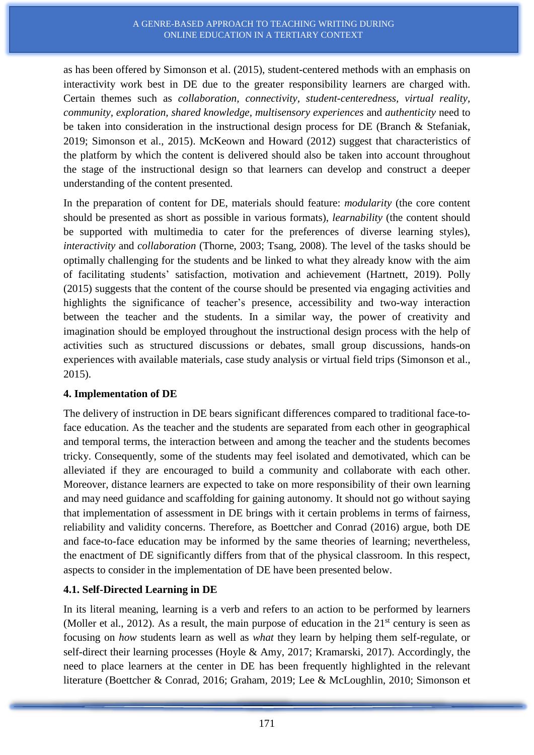as has been offered by Simonson et al. (2015), student-centered methods with an emphasis on interactivity work best in DE due to the greater responsibility learners are charged with. Certain themes such as *collaboration, connectivity, student-centeredness, virtual reality, community, exploration, shared knowledge, multisensory experiences* and *authenticity* need to be taken into consideration in the instructional design process for DE (Branch & Stefaniak, 2019; Simonson et al., 2015). McKeown and Howard (2012) suggest that characteristics of the platform by which the content is delivered should also be taken into account throughout the stage of the instructional design so that learners can develop and construct a deeper understanding of the content presented.

In the preparation of content for DE, materials should feature: *modularity* (the core content should be presented as short as possible in various formats), *learnability* (the content should be supported with multimedia to cater for the preferences of diverse learning styles), *interactivity* and *collaboration* (Thorne, 2003; Tsang, 2008). The level of the tasks should be optimally challenging for the students and be linked to what they already know with the aim of facilitating students' satisfaction, motivation and achievement (Hartnett, 2019). Polly (2015) suggests that the content of the course should be presented via engaging activities and highlights the significance of teacher's presence, accessibility and two-way interaction between the teacher and the students. In a similar way, the power of creativity and imagination should be employed throughout the instructional design process with the help of activities such as structured discussions or debates, small group discussions, hands-on experiences with available materials, case study analysis or virtual field trips (Simonson et al., 2015).

## **4. Implementation of DE**

The delivery of instruction in DE bears significant differences compared to traditional face-toface education. As the teacher and the students are separated from each other in geographical and temporal terms, the interaction between and among the teacher and the students becomes tricky. Consequently, some of the students may feel isolated and demotivated, which can be alleviated if they are encouraged to build a community and collaborate with each other. Moreover, distance learners are expected to take on more responsibility of their own learning and may need guidance and scaffolding for gaining autonomy. It should not go without saying that implementation of assessment in DE brings with it certain problems in terms of fairness, reliability and validity concerns. Therefore, as Boettcher and Conrad (2016) argue, both DE and face-to-face education may be informed by the same theories of learning; nevertheless, the enactment of DE significantly differs from that of the physical classroom. In this respect, aspects to consider in the implementation of DE have been presented below.

# **4.1. Self-Directed Learning in DE**

In its literal meaning, learning is a verb and refers to an action to be performed by learners (Moller et al., 2012). As a result, the main purpose of education in the  $21<sup>st</sup>$  century is seen as focusing on *how* students learn as well as *what* they learn by helping them self-regulate, or self-direct their learning processes (Hoyle & Amy, 2017; Kramarski, 2017). Accordingly, the need to place learners at the center in DE has been frequently highlighted in the relevant literature (Boettcher & Conrad, 2016; Graham, 2019; Lee & McLoughlin, 2010; Simonson et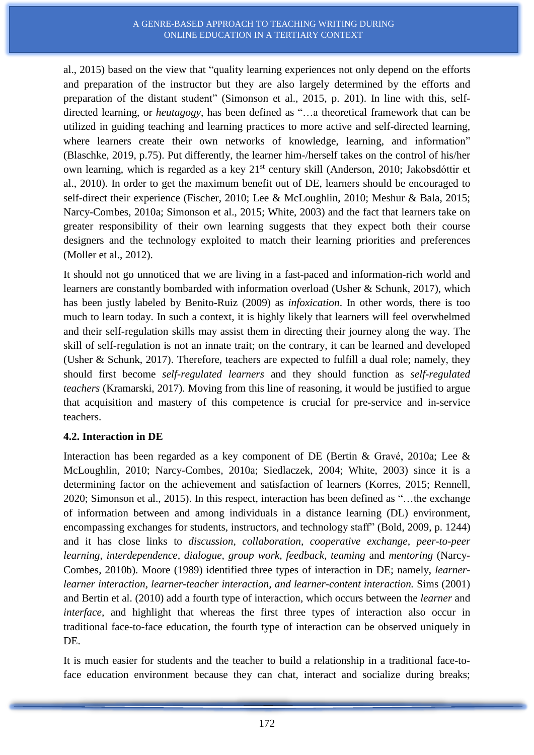#### A GENRE-BASED APPROACH TO TEACHING WRITING DURING ONLINE EDUCATION IN A TERTIARY CONTEXT

al., 2015) based on the view that "quality learning experiences not only depend on the efforts and preparation of the instructor but they are also largely determined by the efforts and preparation of the distant student" (Simonson et al., 2015, p. 201). In line with this, selfdirected learning, or *heutagogy*, has been defined as "…a theoretical framework that can be utilized in guiding teaching and learning practices to more active and self-directed learning, where learners create their own networks of knowledge, learning, and information" (Blaschke, 2019, p.75). Put differently, the learner him-/herself takes on the control of his/her own learning, which is regarded as a key 21<sup>st</sup> century skill (Anderson, 2010; Jakobsdóttir et al., 2010). In order to get the maximum benefit out of DE, learners should be encouraged to self-direct their experience (Fischer, 2010; Lee & McLoughlin, 2010; Meshur & Bala, 2015; Narcy-Combes, 2010a; Simonson et al., 2015; White, 2003) and the fact that learners take on greater responsibility of their own learning suggests that they expect both their course designers and the technology exploited to match their learning priorities and preferences (Moller et al., 2012).

It should not go unnoticed that we are living in a fast-paced and information-rich world and learners are constantly bombarded with information overload (Usher & Schunk, 2017), which has been justly labeled by Benito-Ruiz (2009) as *infoxication*. In other words, there is too much to learn today. In such a context, it is highly likely that learners will feel overwhelmed and their self-regulation skills may assist them in directing their journey along the way. The skill of self-regulation is not an innate trait; on the contrary, it can be learned and developed (Usher & Schunk, 2017). Therefore, teachers are expected to fulfill a dual role; namely, they should first become *self-regulated learners* and they should function as *self-regulated teachers* (Kramarski, 2017). Moving from this line of reasoning, it would be justified to argue that acquisition and mastery of this competence is crucial for pre-service and in-service teachers.

## **4.2. Interaction in DE**

Interaction has been regarded as a key component of DE (Bertin & Gravé, 2010a; Lee & McLoughlin, 2010; Narcy-Combes, 2010a; Siedlaczek, 2004; White, 2003) since it is a determining factor on the achievement and satisfaction of learners (Korres, 2015; Rennell, 2020; Simonson et al., 2015). In this respect, interaction has been defined as "…the exchange of information between and among individuals in a distance learning (DL) environment, encompassing exchanges for students, instructors, and technology staff" (Bold, 2009, p. 1244) and it has close links to *discussion, collaboration, cooperative exchange, peer-to-peer learning, interdependence, dialogue, group work, feedback, teaming* and *mentoring* (Narcy-Combes, 2010b). Moore (1989) identified three types of interaction in DE; namely, *learnerlearner interaction, learner-teacher interaction, and learner-content interaction.* Sims (2001) and Bertin et al. (2010) add a fourth type of interaction, which occurs between the *learner* and *interface,* and highlight that whereas the first three types of interaction also occur in traditional face-to-face education, the fourth type of interaction can be observed uniquely in DE.

It is much easier for students and the teacher to build a relationship in a traditional face-toface education environment because they can chat, interact and socialize during breaks;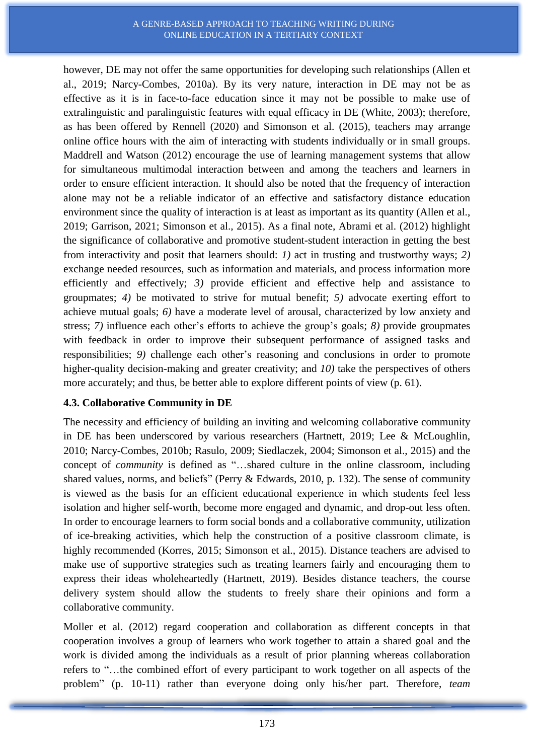#### A GENRE-BASED APPROACH TO TEACHING WRITING DURING ONLINE EDUCATION IN A TERTIARY CONTEXT

however, DE may not offer the same opportunities for developing such relationships (Allen et al., 2019; Narcy-Combes, 2010a). By its very nature, interaction in DE may not be as effective as it is in face-to-face education since it may not be possible to make use of extralinguistic and paralinguistic features with equal efficacy in DE (White, 2003); therefore, as has been offered by Rennell (2020) and Simonson et al. (2015), teachers may arrange online office hours with the aim of interacting with students individually or in small groups. Maddrell and Watson (2012) encourage the use of learning management systems that allow for simultaneous multimodal interaction between and among the teachers and learners in order to ensure efficient interaction. It should also be noted that the frequency of interaction alone may not be a reliable indicator of an effective and satisfactory distance education environment since the quality of interaction is at least as important as its quantity (Allen et al., 2019; Garrison, 2021; Simonson et al., 2015). As a final note, Abrami et al. (2012) highlight the significance of collaborative and promotive student-student interaction in getting the best from interactivity and posit that learners should: *1)* act in trusting and trustworthy ways; *2)* exchange needed resources, such as information and materials, and process information more efficiently and effectively; *3)* provide efficient and effective help and assistance to groupmates; *4)* be motivated to strive for mutual benefit; *5)* advocate exerting effort to achieve mutual goals; *6)* have a moderate level of arousal, characterized by low anxiety and stress; *7)* influence each other's efforts to achieve the group's goals; *8)* provide groupmates with feedback in order to improve their subsequent performance of assigned tasks and responsibilities; *9)* challenge each other's reasoning and conclusions in order to promote higher-quality decision-making and greater creativity; and *10)* take the perspectives of others more accurately; and thus, be better able to explore different points of view (p. 61).

## **4.3. Collaborative Community in DE**

The necessity and efficiency of building an inviting and welcoming collaborative community in DE has been underscored by various researchers (Hartnett, 2019; Lee & McLoughlin, 2010; Narcy-Combes, 2010b; Rasulo, 2009; Siedlaczek, 2004; Simonson et al., 2015) and the concept of *community* is defined as "…shared culture in the online classroom, including shared values, norms, and beliefs" (Perry & Edwards, 2010, p. 132). The sense of community is viewed as the basis for an efficient educational experience in which students feel less isolation and higher self-worth, become more engaged and dynamic, and drop-out less often. In order to encourage learners to form social bonds and a collaborative community, utilization of ice-breaking activities, which help the construction of a positive classroom climate, is highly recommended (Korres, 2015; Simonson et al., 2015). Distance teachers are advised to make use of supportive strategies such as treating learners fairly and encouraging them to express their ideas wholeheartedly (Hartnett, 2019). Besides distance teachers, the course delivery system should allow the students to freely share their opinions and form a collaborative community.

Moller et al. (2012) regard cooperation and collaboration as different concepts in that cooperation involves a group of learners who work together to attain a shared goal and the work is divided among the individuals as a result of prior planning whereas collaboration refers to "…the combined effort of every participant to work together on all aspects of the problem" (p. 10-11) rather than everyone doing only his/her part. Therefore, *team*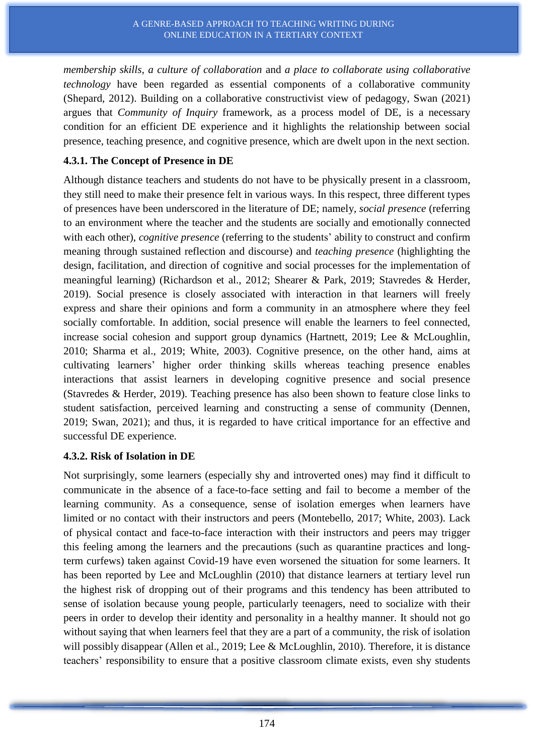*membership skills, a culture of collaboration* and *a place to collaborate using collaborative technology* have been regarded as essential components of a collaborative community (Shepard, 2012). Building on a collaborative constructivist view of pedagogy, Swan (2021) argues that *Community of Inquiry* framework, as a process model of DE, is a necessary condition for an efficient DE experience and it highlights the relationship between social presence, teaching presence, and cognitive presence, which are dwelt upon in the next section.

## **4.3.1. The Concept of Presence in DE**

Although distance teachers and students do not have to be physically present in a classroom, they still need to make their presence felt in various ways. In this respect, three different types of presences have been underscored in the literature of DE; namely, *social presence* (referring to an environment where the teacher and the students are socially and emotionally connected with each other), *cognitive presence* (referring to the students' ability to construct and confirm meaning through sustained reflection and discourse) and *teaching presence* (highlighting the design, facilitation, and direction of cognitive and social processes for the implementation of meaningful learning) (Richardson et al., 2012; Shearer & Park, 2019; Stavredes & Herder, 2019). Social presence is closely associated with interaction in that learners will freely express and share their opinions and form a community in an atmosphere where they feel socially comfortable. In addition, social presence will enable the learners to feel connected, increase social cohesion and support group dynamics (Hartnett, 2019; Lee & McLoughlin, 2010; Sharma et al., 2019; White, 2003). Cognitive presence, on the other hand, aims at cultivating learners' higher order thinking skills whereas teaching presence enables interactions that assist learners in developing cognitive presence and social presence (Stavredes & Herder, 2019). Teaching presence has also been shown to feature close links to student satisfaction, perceived learning and constructing a sense of community (Dennen, 2019; Swan, 2021); and thus, it is regarded to have critical importance for an effective and successful DE experience.

## **4.3.2. Risk of Isolation in DE**

Not surprisingly, some learners (especially shy and introverted ones) may find it difficult to communicate in the absence of a face-to-face setting and fail to become a member of the learning community. As a consequence, sense of isolation emerges when learners have limited or no contact with their instructors and peers (Montebello, 2017; White, 2003). Lack of physical contact and face-to-face interaction with their instructors and peers may trigger this feeling among the learners and the precautions (such as quarantine practices and longterm curfews) taken against Covid-19 have even worsened the situation for some learners. It has been reported by Lee and McLoughlin (2010) that distance learners at tertiary level run the highest risk of dropping out of their programs and this tendency has been attributed to sense of isolation because young people, particularly teenagers, need to socialize with their peers in order to develop their identity and personality in a healthy manner. It should not go without saying that when learners feel that they are a part of a community, the risk of isolation will possibly disappear (Allen et al., 2019; Lee & McLoughlin, 2010). Therefore, it is distance teachers' responsibility to ensure that a positive classroom climate exists, even shy students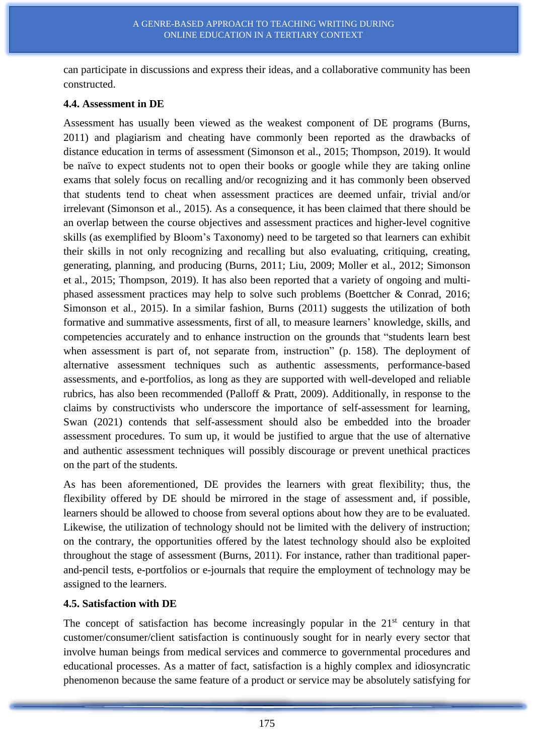can participate in discussions and express their ideas, and a collaborative community has been constructed.

### **4.4. Assessment in DE**

Assessment has usually been viewed as the weakest component of DE programs (Burns, 2011) and plagiarism and cheating have commonly been reported as the drawbacks of distance education in terms of assessment (Simonson et al., 2015; Thompson, 2019). It would be naïve to expect students not to open their books or google while they are taking online exams that solely focus on recalling and/or recognizing and it has commonly been observed that students tend to cheat when assessment practices are deemed unfair, trivial and/or irrelevant (Simonson et al., 2015). As a consequence, it has been claimed that there should be an overlap between the course objectives and assessment practices and higher-level cognitive skills (as exemplified by Bloom's Taxonomy) need to be targeted so that learners can exhibit their skills in not only recognizing and recalling but also evaluating, critiquing, creating, generating, planning, and producing (Burns, 2011; Liu, 2009; Moller et al., 2012; Simonson et al., 2015; Thompson, 2019). It has also been reported that a variety of ongoing and multiphased assessment practices may help to solve such problems (Boettcher & Conrad, 2016; Simonson et al., 2015). In a similar fashion, Burns (2011) suggests the utilization of both formative and summative assessments, first of all, to measure learners' knowledge, skills, and competencies accurately and to enhance instruction on the grounds that "students learn best when assessment is part of, not separate from, instruction" (p. 158). The deployment of alternative assessment techniques such as authentic assessments, performance-based assessments, and e-portfolios, as long as they are supported with well-developed and reliable rubrics, has also been recommended (Palloff & Pratt, 2009). Additionally, in response to the claims by constructivists who underscore the importance of self-assessment for learning, Swan (2021) contends that self-assessment should also be embedded into the broader assessment procedures. To sum up, it would be justified to argue that the use of alternative and authentic assessment techniques will possibly discourage or prevent unethical practices on the part of the students.

As has been aforementioned, DE provides the learners with great flexibility; thus, the flexibility offered by DE should be mirrored in the stage of assessment and, if possible, learners should be allowed to choose from several options about how they are to be evaluated. Likewise, the utilization of technology should not be limited with the delivery of instruction; on the contrary, the opportunities offered by the latest technology should also be exploited throughout the stage of assessment (Burns, 2011). For instance, rather than traditional paperand-pencil tests, e-portfolios or e-journals that require the employment of technology may be assigned to the learners.

## **4.5. Satisfaction with DE**

The concept of satisfaction has become increasingly popular in the  $21<sup>st</sup>$  century in that customer/consumer/client satisfaction is continuously sought for in nearly every sector that involve human beings from medical services and commerce to governmental procedures and educational processes. As a matter of fact, satisfaction is a highly complex and idiosyncratic phenomenon because the same feature of a product or service may be absolutely satisfying for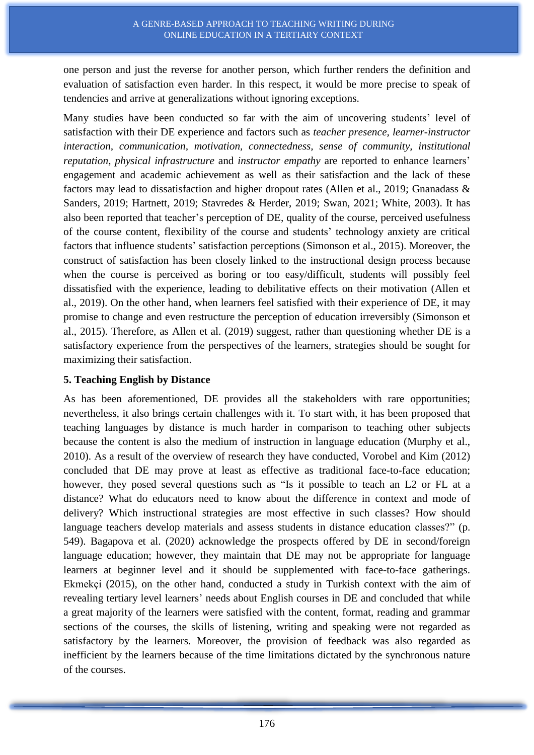one person and just the reverse for another person, which further renders the definition and evaluation of satisfaction even harder. In this respect, it would be more precise to speak of tendencies and arrive at generalizations without ignoring exceptions.

Many studies have been conducted so far with the aim of uncovering students' level of satisfaction with their DE experience and factors such as *teacher presence, learner-instructor interaction, communication, motivation, connectedness, sense of community, institutional reputation, physical infrastructure* and *instructor empathy* are reported to enhance learners' engagement and academic achievement as well as their satisfaction and the lack of these factors may lead to dissatisfaction and higher dropout rates (Allen et al., 2019; Gnanadass & Sanders, 2019; Hartnett, 2019; Stavredes & Herder, 2019; Swan, 2021; White, 2003). It has also been reported that teacher's perception of DE, quality of the course, perceived usefulness of the course content, flexibility of the course and students' technology anxiety are critical factors that influence students' satisfaction perceptions (Simonson et al., 2015). Moreover, the construct of satisfaction has been closely linked to the instructional design process because when the course is perceived as boring or too easy/difficult, students will possibly feel dissatisfied with the experience, leading to debilitative effects on their motivation (Allen et al., 2019). On the other hand, when learners feel satisfied with their experience of DE, it may promise to change and even restructure the perception of education irreversibly (Simonson et al., 2015). Therefore, as Allen et al. (2019) suggest, rather than questioning whether DE is a satisfactory experience from the perspectives of the learners, strategies should be sought for maximizing their satisfaction.

## **5. Teaching English by Distance**

As has been aforementioned, DE provides all the stakeholders with rare opportunities; nevertheless, it also brings certain challenges with it. To start with, it has been proposed that teaching languages by distance is much harder in comparison to teaching other subjects because the content is also the medium of instruction in language education (Murphy et al., 2010). As a result of the overview of research they have conducted, Vorobel and Kim (2012) concluded that DE may prove at least as effective as traditional face-to-face education; however, they posed several questions such as "Is it possible to teach an L2 or FL at a distance? What do educators need to know about the difference in context and mode of delivery? Which instructional strategies are most effective in such classes? How should language teachers develop materials and assess students in distance education classes?" (p. 549). Bagapova et al. (2020) acknowledge the prospects offered by DE in second/foreign language education; however, they maintain that DE may not be appropriate for language learners at beginner level and it should be supplemented with face-to-face gatherings. Ekmekçi (2015), on the other hand, conducted a study in Turkish context with the aim of revealing tertiary level learners' needs about English courses in DE and concluded that while a great majority of the learners were satisfied with the content, format, reading and grammar sections of the courses, the skills of listening, writing and speaking were not regarded as satisfactory by the learners. Moreover, the provision of feedback was also regarded as inefficient by the learners because of the time limitations dictated by the synchronous nature of the courses.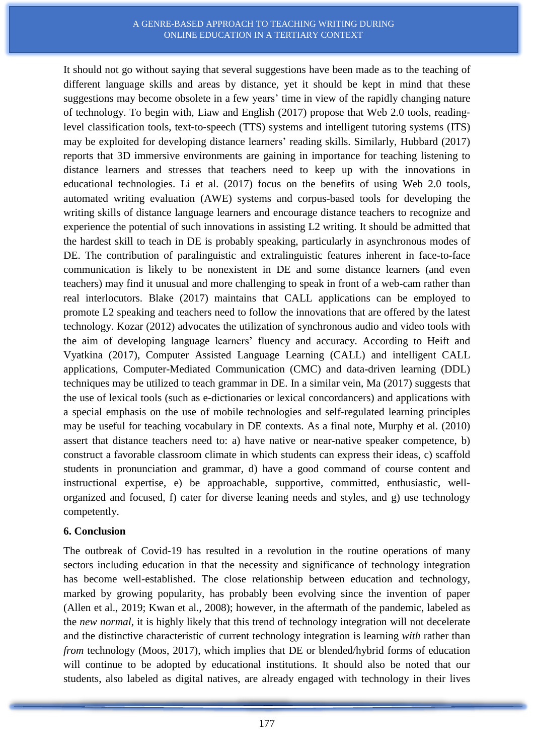It should not go without saying that several suggestions have been made as to the teaching of different language skills and areas by distance, yet it should be kept in mind that these suggestions may become obsolete in a few years' time in view of the rapidly changing nature of technology. To begin with, Liaw and English (2017) propose that Web 2.0 tools, reading‐ level classification tools, text-to-speech (TTS) systems and intelligent tutoring systems (ITS) may be exploited for developing distance learners' reading skills. Similarly, Hubbard (2017) reports that 3D immersive environments are gaining in importance for teaching listening to distance learners and stresses that teachers need to keep up with the innovations in educational technologies. Li et al. (2017) focus on the benefits of using Web 2.0 tools, automated writing evaluation (AWE) systems and corpus-based tools for developing the writing skills of distance language learners and encourage distance teachers to recognize and experience the potential of such innovations in assisting L2 writing. It should be admitted that the hardest skill to teach in DE is probably speaking, particularly in asynchronous modes of DE. The contribution of paralinguistic and extralinguistic features inherent in face-to-face communication is likely to be nonexistent in DE and some distance learners (and even teachers) may find it unusual and more challenging to speak in front of a web-cam rather than real interlocutors. Blake (2017) maintains that CALL applications can be employed to promote L2 speaking and teachers need to follow the innovations that are offered by the latest technology. Kozar (2012) advocates the utilization of synchronous audio and video tools with the aim of developing language learners' fluency and accuracy. According to Heift and Vyatkina (2017), Computer Assisted Language Learning (CALL) and intelligent CALL applications, Computer-Mediated Communication (CMC) and data-driven learning (DDL) techniques may be utilized to teach grammar in DE. In a similar vein, Ma (2017) suggests that the use of lexical tools (such as e-dictionaries or lexical concordancers) and applications with a special emphasis on the use of mobile technologies and self-regulated learning principles may be useful for teaching vocabulary in DE contexts. As a final note, Murphy et al. (2010) assert that distance teachers need to: a) have native or near-native speaker competence, b) construct a favorable classroom climate in which students can express their ideas, c) scaffold students in pronunciation and grammar, d) have a good command of course content and instructional expertise, e) be approachable, supportive, committed, enthusiastic, wellorganized and focused, f) cater for diverse leaning needs and styles, and g) use technology competently.

### **6. Conclusion**

The outbreak of Covid-19 has resulted in a revolution in the routine operations of many sectors including education in that the necessity and significance of technology integration has become well-established. The close relationship between education and technology, marked by growing popularity, has probably been evolving since the invention of paper (Allen et al., 2019; Kwan et al., 2008); however, in the aftermath of the pandemic, labeled as the *new normal*, it is highly likely that this trend of technology integration will not decelerate and the distinctive characteristic of current technology integration is learning *with* rather than *from* technology (Moos, 2017), which implies that DE or blended/hybrid forms of education will continue to be adopted by educational institutions. It should also be noted that our students, also labeled as digital natives, are already engaged with technology in their lives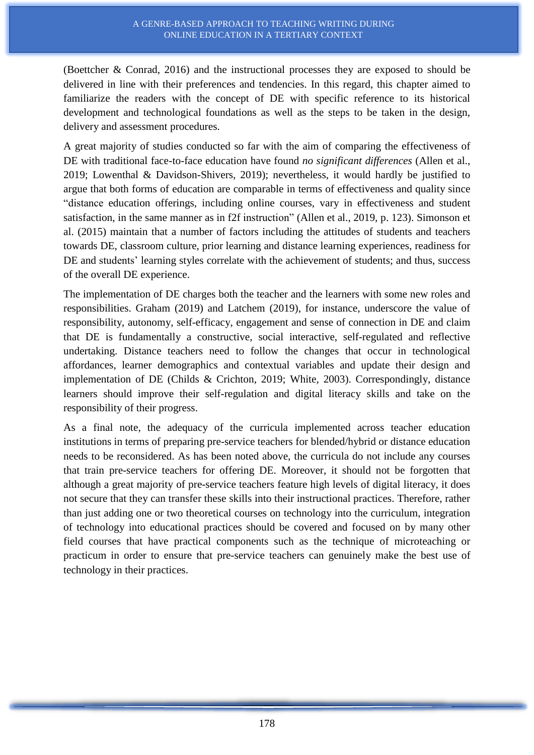(Boettcher & Conrad, 2016) and the instructional processes they are exposed to should be delivered in line with their preferences and tendencies. In this regard, this chapter aimed to familiarize the readers with the concept of DE with specific reference to its historical development and technological foundations as well as the steps to be taken in the design, delivery and assessment procedures.

A great majority of studies conducted so far with the aim of comparing the effectiveness of DE with traditional face-to-face education have found *no significant differences* (Allen et al., 2019; Lowenthal & Davidson-Shivers, 2019); nevertheless, it would hardly be justified to argue that both forms of education are comparable in terms of effectiveness and quality since "distance education offerings, including online courses, vary in effectiveness and student satisfaction, in the same manner as in f2f instruction" (Allen et al., 2019, p. 123). Simonson et al. (2015) maintain that a number of factors including the attitudes of students and teachers towards DE, classroom culture, prior learning and distance learning experiences, readiness for DE and students' learning styles correlate with the achievement of students; and thus, success of the overall DE experience.

The implementation of DE charges both the teacher and the learners with some new roles and responsibilities. Graham (2019) and Latchem (2019), for instance, underscore the value of responsibility, autonomy, self-efficacy, engagement and sense of connection in DE and claim that DE is fundamentally a constructive, social interactive, self-regulated and reflective undertaking. Distance teachers need to follow the changes that occur in technological affordances, learner demographics and contextual variables and update their design and implementation of DE (Childs & Crichton, 2019; White, 2003). Correspondingly, distance learners should improve their self-regulation and digital literacy skills and take on the responsibility of their progress.

As a final note, the adequacy of the curricula implemented across teacher education institutions in terms of preparing pre-service teachers for blended/hybrid or distance education needs to be reconsidered. As has been noted above, the curricula do not include any courses that train pre-service teachers for offering DE. Moreover, it should not be forgotten that although a great majority of pre-service teachers feature high levels of digital literacy, it does not secure that they can transfer these skills into their instructional practices. Therefore, rather than just adding one or two theoretical courses on technology into the curriculum, integration of technology into educational practices should be covered and focused on by many other field courses that have practical components such as the technique of microteaching or practicum in order to ensure that pre-service teachers can genuinely make the best use of technology in their practices.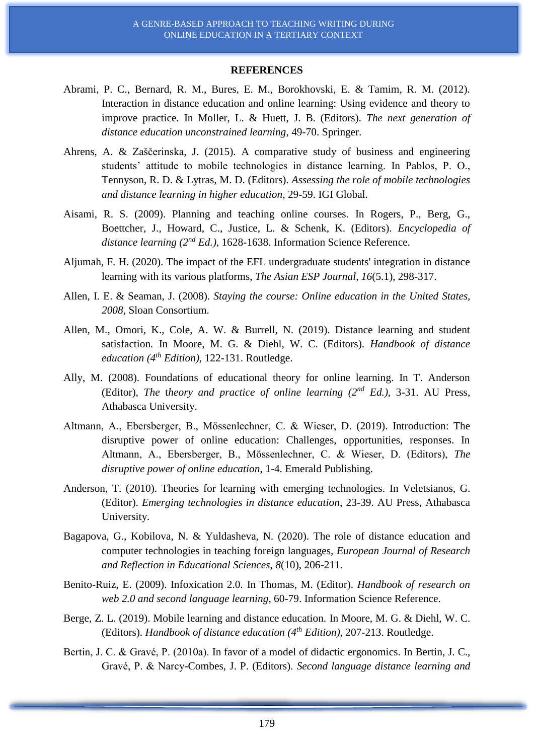#### **REFERENCES**

- Abrami, P. C., Bernard, R. M., Bures, E. M., Borokhovski, E. & Tamim, R. M. (2012). Interaction in distance education and online learning: Using evidence and theory to improve practice*.* In Moller, L. & Huett, J. B. (Editors). *The next generation of distance education unconstrained learning*, 49-70. Springer.
- Ahrens, A. & Zaščerinska, J. (2015). A comparative study of business and engineering students' attitude to mobile technologies in distance learning. In Pablos, P. O., Tennyson, R. D. & Lytras, M. D. (Editors). *Assessing the role of mobile technologies and distance learning in higher education*, 29-59. IGI Global.
- Aisami, R. S. (2009). Planning and teaching online courses*.* In Rogers, P., Berg, G., Boettcher, J., Howard, C., Justice, L. & Schenk, K. (Editors). *Encyclopedia of distance learning (2nd Ed.)*, 1628-1638. Information Science Reference.
- Aljumah, F. H. (2020). The impact of the EFL undergraduate students' integration in distance learning with its various platforms, *The Asian ESP Journal, 16*(5.1), 298-317.
- Allen, I. E. & Seaman, J. (2008). *Staying the course: Online education in the United States, 2008*, Sloan Consortium.
- Allen, M., Omori, K., Cole, A. W. & Burrell, N. (2019). Distance learning and student satisfaction*.* In Moore, M. G. & Diehl, W. C. (Editors). *Handbook of distance education (4th Edition)*, 122-131. Routledge.
- Ally, M. (2008). Foundations of educational theory for online learning. In T. Anderson (Editor), *The* t*heory and practice of online learning (2nd Ed.),* 3-31. AU Press, Athabasca University.
- Altmann, A., Ebersberger, B., Mössenlechner, C. & Wieser, D. (2019). Introduction: The disruptive power of online education: Challenges, opportunities, responses. In Altmann, A., Ebersberger, B., Mössenlechner, C. & Wieser, D. (Editors), *The disruptive power of online education*, 1-4. Emerald Publishing.
- Anderson, T. (2010). Theories for learning with emerging technologies. In Veletsianos, G. (Editor). *Emerging technologies in distance education*, 23-39. AU Press, Athabasca University.
- Bagapova, G., Kobilova, N. & Yuldasheva, N. (2020). The role of distance education and computer technologies in teaching foreign languages, *European Journal of Research and Reflection in Educational Sciences*, *8*(10), 206-211.
- Benito-Ruiz, E. (2009). Infoxication 2.0*.* In Thomas, M. (Editor). *Handbook of research on web 2.0 and second language learning*, 60-79. Information Science Reference.
- Berge, Z. L. (2019). Mobile learning and distance education*.* In Moore, M. G. & Diehl, W. C. (Editors). *Handbook of distance education (4th Edition)*, 207-213. Routledge.
- Bertin, J. C. & Gravé, P. (2010a). In favor of a model of didactic ergonomics*.* In Bertin, J. C., Gravé, P. & Narcy-Combes, J. P. (Editors). *Second language distance learning and*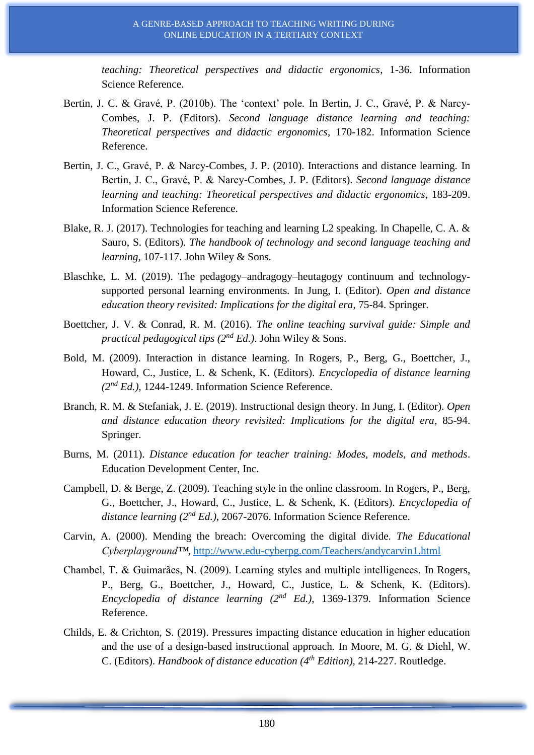*teaching: Theoretical perspectives and didactic ergonomics*, 1-36. Information Science Reference.

- Bertin, J. C. & Gravé, P. (2010b). The 'context' pole*.* In Bertin, J. C., Gravé, P. & Narcy-Combes, J. P. (Editors). *Second language distance learning and teaching: Theoretical perspectives and didactic ergonomics*, 170-182. Information Science Reference.
- Bertin, J. C., Gravé, P. & Narcy-Combes, J. P. (2010). Interactions and distance learning*.* In Bertin, J. C., Gravé, P. & Narcy-Combes, J. P. (Editors). *Second language distance learning and teaching: Theoretical perspectives and didactic ergonomics*, 183-209. Information Science Reference.
- Blake, R. J. (2017). Technologies for teaching and learning L2 speaking. In Chapelle, C. A. & Sauro, S. (Editors). *The handbook of technology and second language teaching and learning*, 107-117. John Wiley & Sons.
- Blaschke, L. M. (2019). The pedagogy–andragogy–heutagogy continuum and technologysupported personal learning environments*.* In Jung, I. (Editor). *Open and distance education theory revisited: Implications for the digital era*, 75-84. Springer.
- Boettcher, J. V. & Conrad, R. M. (2016). *The online teaching survival guide: Simple and practical pedagogical tips (2nd Ed.)*. John Wiley & Sons.
- Bold, M. (2009). Interaction in distance learning*.* In Rogers, P., Berg, G., Boettcher, J., Howard, C., Justice, L. & Schenk, K. (Editors). *Encyclopedia of distance learning (2nd Ed.)*, 1244-1249. Information Science Reference.
- Branch, R. M. & Stefaniak, J. E. (2019). Instructional design theory*.* In Jung, I. (Editor). *Open and distance education theory revisited: Implications for the digital era*, 85-94. Springer.
- Burns, M. (2011). *Distance education for teacher training: Modes, models, and methods*. Education Development Center, Inc.
- Campbell, D. & Berge, Z. (2009). Teaching style in the online classroom*.* In Rogers, P., Berg, G., Boettcher, J., Howard, C., Justice, L. & Schenk, K. (Editors). *Encyclopedia of distance learning (2nd Ed.)*, 2067-2076. Information Science Reference.
- Carvin, A. (2000). Mending the breach: Overcoming the digital divide. *The Educational Cyberplayground™*,<http://www.edu-cyberpg.com/Teachers/andycarvin1.html>
- Chambel, T. & Guimarães, N. (2009). Learning styles and multiple intelligences*.* In Rogers, P., Berg, G., Boettcher, J., Howard, C., Justice, L. & Schenk, K. (Editors). *Encyclopedia of distance learning (2nd Ed.)*, 1369-1379. Information Science Reference.
- Childs, E. & Crichton, S. (2019). Pressures impacting distance education in higher education and the use of a design-based instructional approach*.* In Moore, M. G. & Diehl, W. C. (Editors). *Handbook of distance education (4th Edition)*, 214-227. Routledge.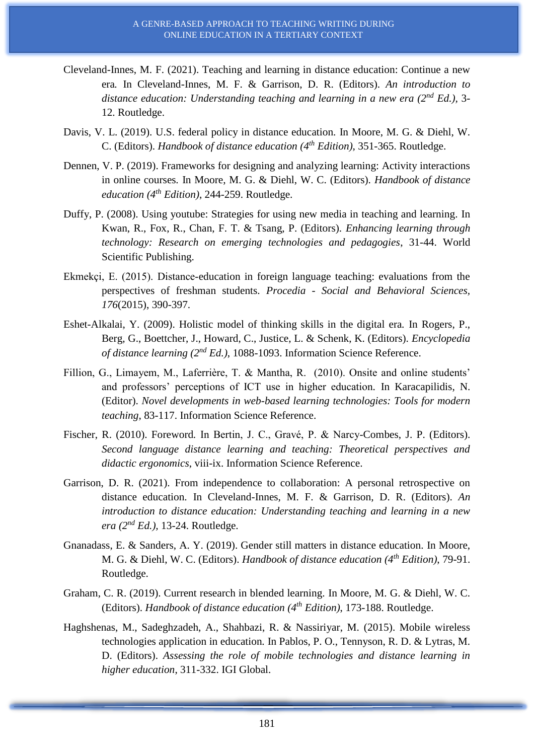- Cleveland-Innes, M. F. (2021). Teaching and learning in distance education: Continue a new era*.* In Cleveland-Innes, M. F. & Garrison, D. R. (Editors). *An introduction to distance education: Understanding teaching and learning in a new era (2nd Ed.),* 3- 12. Routledge.
- Davis, V. L. (2019). U.S. federal policy in distance education*.* In Moore, M. G. & Diehl, W. C. (Editors). *Handbook of distance education (4th Edition)*, 351-365. Routledge.
- Dennen, V. P. (2019). Frameworks for designing and analyzing learning: Activity interactions in online courses*.* In Moore, M. G. & Diehl, W. C. (Editors). *Handbook of distance education (4th Edition)*, 244-259. Routledge.
- Duffy, P. (2008). Using youtube: Strategies for using new media in teaching and learning*.* In Kwan, R., Fox, R., Chan, F. T. & Tsang, P. (Editors). *Enhancing learning through technology: Research on emerging technologies and pedagogies*, 31-44. World Scientific Publishing.
- Ekmekçi, E. (2015). Distance-education in foreign language teaching: evaluations from the perspectives of freshman students. *Procedia - Social and Behavioral Sciences, 176*(2015), 390-397.
- Eshet-Alkalai, Y. (2009). Holistic model of thinking skills in the digital era*.* In Rogers, P., Berg, G., Boettcher, J., Howard, C., Justice, L. & Schenk, K. (Editors). *Encyclopedia of distance learning (2nd Ed.)*, 1088-1093. Information Science Reference.
- Fillion, G., Limayem, M., Laferrière, T. & Mantha, R. (2010). Onsite and online students' and professors' perceptions of ICT use in higher education*.* In Karacapilidis, N. (Editor). *Novel developments in web-based learning technologies: Tools for modern teaching*, 83-117. Information Science Reference.
- Fischer, R. (2010). Foreword*.* In Bertin, J. C., Gravé, P. & Narcy-Combes, J. P. (Editors). *Second language distance learning and teaching: Theoretical perspectives and didactic ergonomics*, viii-ix. Information Science Reference.
- Garrison, D. R. (2021). From independence to collaboration: A personal retrospective on distance education*.* In Cleveland-Innes, M. F. & Garrison, D. R. (Editors). *An introduction to distance education: Understanding teaching and learning in a new era (2nd Ed.),* 13-24. Routledge.
- Gnanadass, E. & Sanders, A. Y. (2019). Gender still matters in distance education*.* In Moore, M. G. & Diehl, W. C. (Editors). *Handbook of distance education (4th Edition)*, 79-91. Routledge.
- Graham, C. R. (2019). Current research in blended learning*.* In Moore, M. G. & Diehl, W. C. (Editors). *Handbook of distance education (4th Edition)*, 173-188. Routledge.
- Haghshenas, M., Sadeghzadeh, A., Shahbazi, R. & Nassiriyar, M. (2015). Mobile wireless technologies application in education*.* In Pablos, P. O., Tennyson, R. D. & Lytras, M. D. (Editors). *Assessing the role of mobile technologies and distance learning in higher education*, 311-332. IGI Global.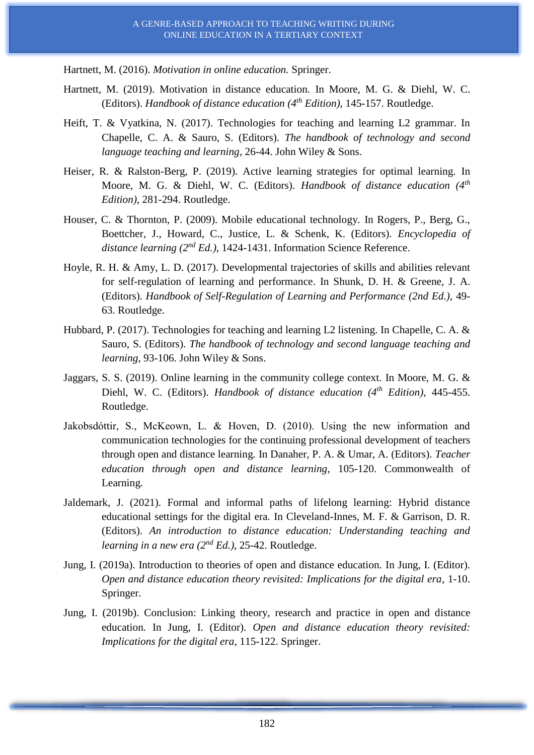Hartnett, M. (2016). *Motivation in online education.* Springer.

- Hartnett, M. (2019). Motivation in distance education*.* In Moore, M. G. & Diehl, W. C. (Editors). *Handbook of distance education (4th Edition)*, 145-157. Routledge.
- Heift, T. & Vyatkina, N. (2017). Technologies for teaching and learning L2 grammar. In Chapelle, C. A. & Sauro, S. (Editors). *The handbook of technology and second language teaching and learning*, 26-44. John Wiley & Sons.
- Heiser, R. & Ralston-Berg, P. (2019). Active learning strategies for optimal learning*.* In Moore, M. G. & Diehl, W. C. (Editors). *Handbook of distance education (4th Edition)*, 281-294. Routledge.
- Houser, C. & Thornton, P. (2009). Mobile educational technology*.* In Rogers, P., Berg, G., Boettcher, J., Howard, C., Justice, L. & Schenk, K. (Editors). *Encyclopedia of distance learning (2nd Ed.)*, 1424-1431. Information Science Reference.
- Hoyle, R. H. & Amy, L. D. (2017). Developmental trajectories of skills and abilities relevant for self-regulation of learning and performance. In Shunk, D. H. & Greene, J. A. (Editors). *Handbook of Self-Regulation of Learning and Performance (2nd Ed.),* 49- 63. Routledge.
- Hubbard, P. (2017). Technologies for teaching and learning L2 listening. In Chapelle, C. A. & Sauro, S. (Editors). *The handbook of technology and second language teaching and learning*, 93-106. John Wiley & Sons.
- Jaggars, S. S. (2019). Online learning in the community college context*.* In Moore, M. G. & Diehl, W. C. (Editors). *Handbook of distance education (4th Edition)*, 445-455. Routledge.
- Jakobsdóttir, S., McKeown, L. & Hoven, D. (2010). Using the new information and communication technologies for the continuing professional development of teachers through open and distance learning*.* In Danaher, P. A. & Umar, A. (Editors). *Teacher education through open and distance learning*, 105-120. Commonwealth of Learning.
- Jaldemark, J. (2021). Formal and informal paths of lifelong learning: Hybrid distance educational settings for the digital era*.* In Cleveland-Innes, M. F. & Garrison, D. R. (Editors). *An introduction to distance education: Understanding teaching and learning in a new era (2nd Ed.)*, 25-42. Routledge.
- Jung, I. (2019a). Introduction to theories of open and distance education*.* In Jung, I. (Editor). *Open and distance education theory revisited: Implications for the digital era*, 1-10. Springer.
- Jung, I. (2019b). Conclusion: Linking theory, research and practice in open and distance education*.* In Jung, I. (Editor). *Open and distance education theory revisited: Implications for the digital era*, 115-122. Springer.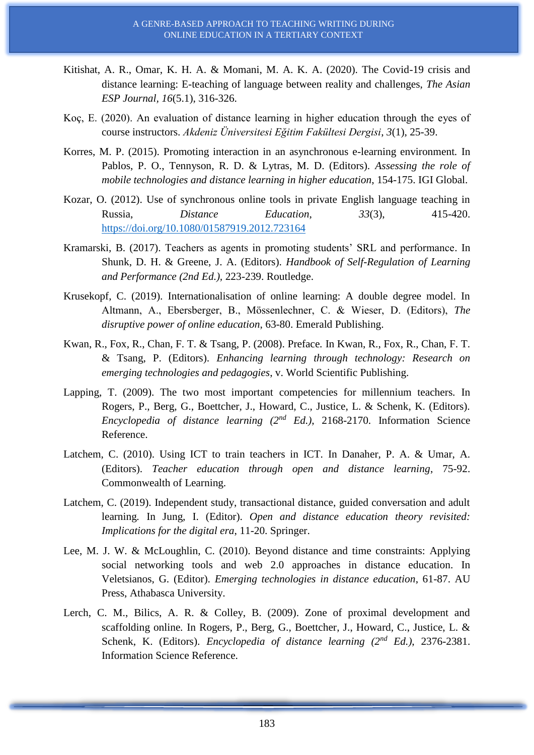- Kitishat, A. R., Omar, K. H. A. & Momani, M. A. K. A. (2020). The Covid-19 crisis and distance learning: E-teaching of language between reality and challenges, *The Asian ESP Journal, 16*(5.1), 316-326.
- Koç, E. (2020). An evaluation of distance learning in higher education through the eyes of course instructors. *Akdeniz Üniversitesi Eğitim Fakültesi Dergisi*, *3*(1), 25-39.
- Korres, M. P. (2015). Promoting interaction in an asynchronous e-learning environment*.* In Pablos, P. O., Tennyson, R. D. & Lytras, M. D. (Editors). *Assessing the role of mobile technologies and distance learning in higher education*, 154-175. IGI Global.
- Kozar, O. (2012). Use of synchronous online tools in private English language teaching in Russia, *Distance Education*, *33*(3), 415-420. <https://doi.org/10.1080/01587919.2012.723164>
- Kramarski, B. (2017). Teachers as agents in promoting students' SRL and performance. In Shunk, D. H. & Greene, J. A. (Editors). *Handbook of Self-Regulation of Learning and Performance (2nd Ed.),* 223-239. Routledge.
- Krusekopf, C. (2019). Internationalisation of online learning: A double degree model. In Altmann, A., Ebersberger, B., Mössenlechner, C. & Wieser, D. (Editors), *The disruptive power of online education*, 63-80. Emerald Publishing.
- Kwan, R., Fox, R., Chan, F. T. & Tsang, P. (2008). Preface*.* In Kwan, R., Fox, R., Chan, F. T. & Tsang, P. (Editors). *Enhancing learning through technology: Research on emerging technologies and pedagogies*, v. World Scientific Publishing.
- Lapping, T. (2009). The two most important competencies for millennium teachers*.* In Rogers, P., Berg, G., Boettcher, J., Howard, C., Justice, L. & Schenk, K. (Editors). *Encyclopedia of distance learning (2nd Ed.)*, 2168-2170. Information Science Reference.
- Latchem, C. (2010). Using ICT to train teachers in ICT*.* In Danaher, P. A. & Umar, A. (Editors). *Teacher education through open and distance learning*, 75-92. Commonwealth of Learning.
- Latchem, C. (2019). Independent study, transactional distance, guided conversation and adult learning*.* In Jung, I. (Editor). *Open and distance education theory revisited: Implications for the digital era*, 11-20. Springer.
- Lee, M. J. W. & McLoughlin, C. (2010). Beyond distance and time constraints: Applying social networking tools and web 2.0 approaches in distance education. In Veletsianos, G. (Editor). *Emerging technologies in distance education*, 61-87. AU Press, Athabasca University.
- Lerch, C. M., Bilics, A. R. & Colley, B. (2009). Zone of proximal development and scaffolding online*.* In Rogers, P., Berg, G., Boettcher, J., Howard, C., Justice, L. & Schenk, K. (Editors). *Encyclopedia of distance learning (2nd Ed.)*, 2376-2381. Information Science Reference.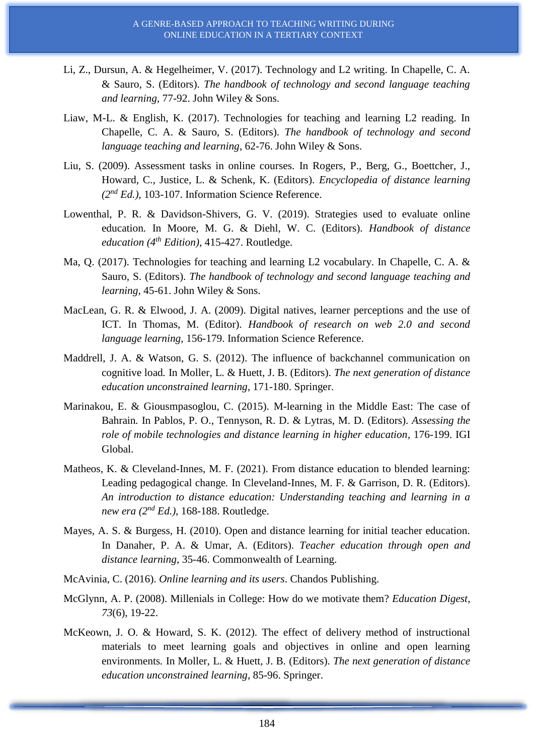- Li, Z., Dursun, A. & Hegelheimer, V. (2017). Technology and L2 writing. In Chapelle, C. A. & Sauro, S. (Editors). *The handbook of technology and second language teaching and learning*, 77-92. John Wiley & Sons.
- Liaw, M-L. & English, K. (2017). Technologies for teaching and learning L2 reading. In Chapelle, C. A. & Sauro, S. (Editors). *The handbook of technology and second language teaching and learning*, 62-76. John Wiley & Sons.
- Liu, S. (2009). Assessment tasks in online courses*.* In Rogers, P., Berg, G., Boettcher, J., Howard, C., Justice, L. & Schenk, K. (Editors). *Encyclopedia of distance learning (2nd Ed.),* 103-107. Information Science Reference.
- Lowenthal, P. R. & Davidson-Shivers, G. V. (2019). Strategies used to evaluate online education*.* In Moore, M. G. & Diehl, W. C. (Editors). *Handbook of distance education (4th Edition)*, 415-427. Routledge.
- Ma, Q. (2017). Technologies for teaching and learning L2 vocabulary. In Chapelle, C. A. & Sauro, S. (Editors). *The handbook of technology and second language teaching and learning*, 45-61. John Wiley & Sons.
- MacLean, G. R. & Elwood, J. A. (2009). Digital natives, learner perceptions and the use of ICT*.* In Thomas, M. (Editor). *Handbook of research on web 2.0 and second language learning*, 156-179. Information Science Reference.
- Maddrell, J. A. & Watson, G. S. (2012). The influence of backchannel communication on cognitive load*.* In Moller, L. & Huett, J. B. (Editors). *The next generation of distance education unconstrained learning*, 171-180. Springer.
- Marinakou, E. & Giousmpasoglou, C. (2015). M-learning in the Middle East: The case of Bahrain*.* In Pablos, P. O., Tennyson, R. D. & Lytras, M. D. (Editors). *Assessing the role of mobile technologies and distance learning in higher education*, 176-199. IGI Global.
- Matheos, K. & Cleveland-Innes, M. F. (2021). From distance education to blended learning: Leading pedagogical change*.* In Cleveland-Innes, M. F. & Garrison, D. R. (Editors). *An introduction to distance education: Understanding teaching and learning in a new era (2nd Ed.)*, 168-188. Routledge.
- Mayes, A. S. & Burgess, H. (2010). Open and distance learning for initial teacher education*.* In Danaher, P. A. & Umar, A. (Editors). *Teacher education through open and distance learning*, 35-46. Commonwealth of Learning.
- McAvinia, C. (2016). *Online learning and its users*. Chandos Publishing.
- McGlynn, A. P. (2008). Millenials in College: How do we motivate them? *Education Digest*, *73*(6), 19-22.
- McKeown, J. O. & Howard, S. K. (2012). The effect of delivery method of instructional materials to meet learning goals and objectives in online and open learning environments*.* In Moller, L. & Huett, J. B. (Editors). *The next generation of distance education unconstrained learning*, 85-96. Springer.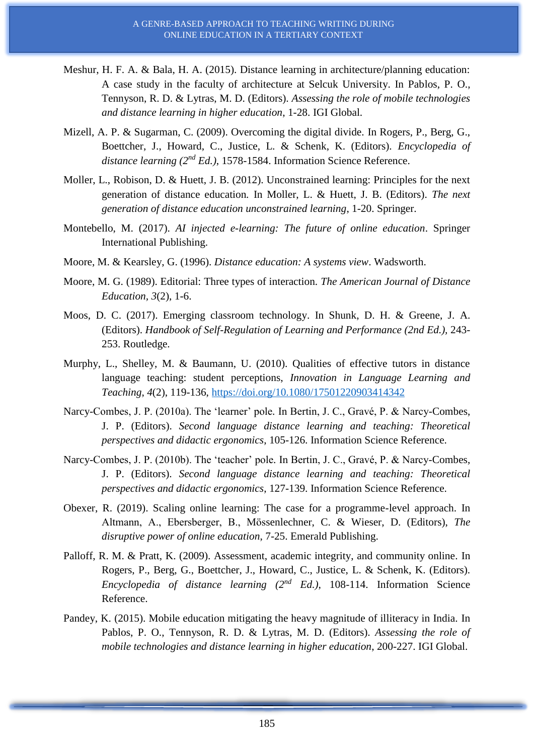- Meshur, H. F. A. & Bala, H. A. (2015). Distance learning in architecture/planning education: A case study in the faculty of architecture at Selcuk University. In Pablos, P. O., Tennyson, R. D. & Lytras, M. D. (Editors). *Assessing the role of mobile technologies and distance learning in higher education*, 1-28. IGI Global.
- Mizell, A. P. & Sugarman, C. (2009). Overcoming the digital divide*.* In Rogers, P., Berg, G., Boettcher, J., Howard, C., Justice, L. & Schenk, K. (Editors). *Encyclopedia of distance learning (2nd Ed.)*, 1578-1584. Information Science Reference.
- Moller, L., Robison, D. & Huett, J. B. (2012). Unconstrained learning: Principles for the next generation of distance education*.* In Moller, L. & Huett, J. B. (Editors). *The next generation of distance education unconstrained learning*, 1-20. Springer.
- Montebello, M. (2017). *AI injected e-learning: The future of online education*. Springer International Publishing.
- Moore, M. & Kearsley, G. (1996). *Distance education: A systems view*. Wadsworth.
- Moore, M. G. (1989). Editorial: Three types of interaction. *The American Journal of Distance Education, 3*(2), 1-6.
- Moos, D. C. (2017). Emerging classroom technology. In Shunk, D. H. & Greene, J. A. (Editors). *Handbook of Self-Regulation of Learning and Performance (2nd Ed.),* 243- 253. Routledge.
- Murphy, L., Shelley, M. & Baumann, U. (2010). Qualities of effective tutors in distance language teaching: student perceptions, *Innovation in Language Learning and Teaching*, *4*(2), 119-136,<https://doi.org/10.1080/17501220903414342>
- Narcy-Combes, J. P. (2010a). The 'learner' pole*.* In Bertin, J. C., Gravé, P. & Narcy-Combes, J. P. (Editors). *Second language distance learning and teaching: Theoretical perspectives and didactic ergonomics*, 105-126. Information Science Reference.
- Narcy-Combes, J. P. (2010b). The 'teacher' pole*.* In Bertin, J. C., Gravé, P. & Narcy-Combes, J. P. (Editors). *Second language distance learning and teaching: Theoretical perspectives and didactic ergonomics*, 127-139. Information Science Reference.
- Obexer, R. (2019). Scaling online learning: The case for a programme-level approach. In Altmann, A., Ebersberger, B., Mössenlechner, C. & Wieser, D. (Editors), *The disruptive power of online education*, 7-25. Emerald Publishing.
- Palloff, R. M. & Pratt, K. (2009). Assessment, academic integrity, and community online*.* In Rogers, P., Berg, G., Boettcher, J., Howard, C., Justice, L. & Schenk, K. (Editors). *Encyclopedia of distance learning (2nd Ed.)*, 108-114. Information Science Reference.
- Pandey, K. (2015). Mobile education mitigating the heavy magnitude of illiteracy in India*.* In Pablos, P. O., Tennyson, R. D. & Lytras, M. D. (Editors). *Assessing the role of mobile technologies and distance learning in higher education*, 200-227. IGI Global.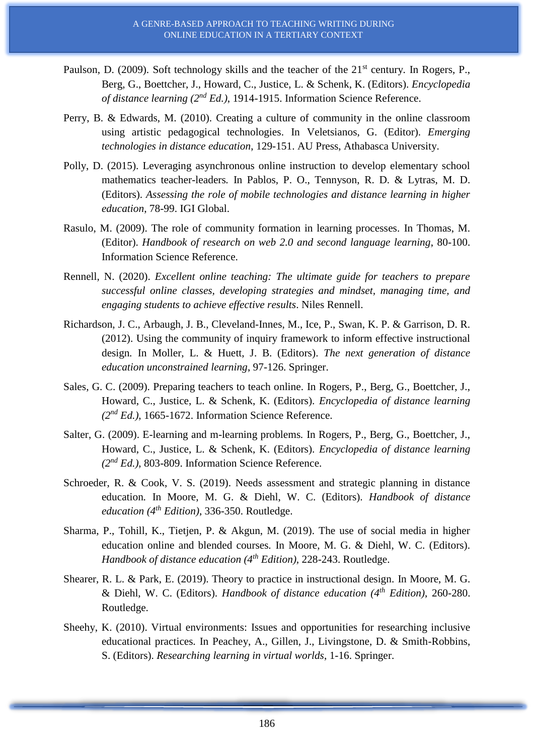- Paulson, D. (2009). Soft technology skills and the teacher of the 21<sup>st</sup> century. In Rogers, P., Berg, G., Boettcher, J., Howard, C., Justice, L. & Schenk, K. (Editors). *Encyclopedia of distance learning (2nd Ed.)*, 1914-1915. Information Science Reference.
- Perry, B. & Edwards, M. (2010). Creating a culture of community in the online classroom using artistic pedagogical technologies. In Veletsianos, G. (Editor). *Emerging technologies in distance education*, 129-151. AU Press, Athabasca University.
- Polly, D. (2015). Leveraging asynchronous online instruction to develop elementary school mathematics teacher-leaders*.* In Pablos, P. O., Tennyson, R. D. & Lytras, M. D. (Editors). *Assessing the role of mobile technologies and distance learning in higher education*, 78-99. IGI Global.
- Rasulo, M. (2009). The role of community formation in learning processes*.* In Thomas, M. (Editor). *Handbook of research on web 2.0 and second language learning*, 80-100. Information Science Reference.
- Rennell, N. (2020). *Excellent online teaching: The ultimate guide for teachers to prepare successful online classes, developing strategies and mindset, managing time, and engaging students to achieve effective results*. Niles Rennell.
- Richardson, J. C., Arbaugh, J. B., Cleveland-Innes, M., Ice, P., Swan, K. P. & Garrison, D. R. (2012). Using the community of inquiry framework to inform effective instructional design*.* In Moller, L. & Huett, J. B. (Editors). *The next generation of distance education unconstrained learning*, 97-126. Springer.
- Sales, G. C. (2009). Preparing teachers to teach online*.* In Rogers, P., Berg, G., Boettcher, J., Howard, C., Justice, L. & Schenk, K. (Editors). *Encyclopedia of distance learning (2nd Ed.)*, 1665-1672. Information Science Reference.
- Salter, G. (2009). E-learning and m-learning problems*.* In Rogers, P., Berg, G., Boettcher, J., Howard, C., Justice, L. & Schenk, K. (Editors). *Encyclopedia of distance learning (2nd Ed.)*, 803-809. Information Science Reference.
- Schroeder, R. & Cook, V. S. (2019). Needs assessment and strategic planning in distance education*.* In Moore, M. G. & Diehl, W. C. (Editors). *Handbook of distance education (4th Edition)*, 336-350. Routledge.
- Sharma, P., Tohill, K., Tietjen, P. & Akgun, M. (2019). The use of social media in higher education online and blended courses*.* In Moore, M. G. & Diehl, W. C. (Editors). *Handbook of distance education (4th Edition),* 228-243. Routledge.
- Shearer, R. L. & Park, E. (2019). Theory to practice in instructional design*.* In Moore, M. G. & Diehl, W. C. (Editors). *Handbook of distance education (4th Edition)*, 260-280. Routledge.
- Sheehy, K. (2010). Virtual environments: Issues and opportunities for researching inclusive educational practices*.* In Peachey, A., Gillen, J., Livingstone, D. & Smith-Robbins, S. (Editors). *Researching learning in virtual worlds*, 1-16. Springer.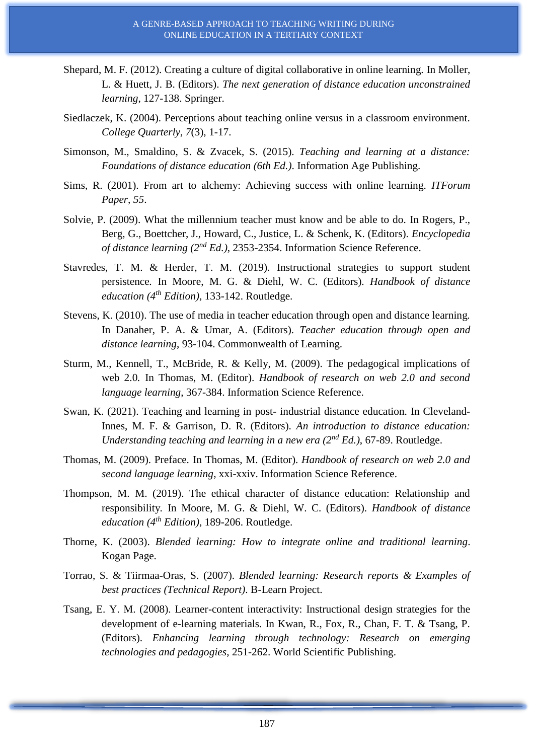- Shepard, M. F. (2012). Creating a culture of digital collaborative in online learning*.* In Moller, L. & Huett, J. B. (Editors). *The next generation of distance education unconstrained learning*, 127-138. Springer.
- Siedlaczek, K. (2004). Perceptions about teaching online versus in a classroom environment. *College Quarterly*, *7*(3), 1-17.
- Simonson, M., Smaldino, S. & Zvacek, S. (2015). *Teaching and learning at a distance: Foundations of distance education (6th Ed.)*. Information Age Publishing.
- Sims, R. (2001). From art to alchemy: Achieving success with online learning. *ITForum Paper, 55*.
- Solvie, P. (2009). What the millennium teacher must know and be able to do*.* In Rogers, P., Berg, G., Boettcher, J., Howard, C., Justice, L. & Schenk, K. (Editors). *Encyclopedia of distance learning (2nd Ed.)*, 2353-2354. Information Science Reference.
- Stavredes, T. M. & Herder, T. M. (2019). Instructional strategies to support student persistence*.* In Moore, M. G. & Diehl, W. C. (Editors). *Handbook of distance education (4th Edition)*, 133-142. Routledge.
- Stevens, K. (2010). The use of media in teacher education through open and distance learning*.* In Danaher, P. A. & Umar, A. (Editors). *Teacher education through open and distance learning*, 93-104. Commonwealth of Learning.
- Sturm, M., Kennell, T., McBride, R. & Kelly, M. (2009). The pedagogical implications of web 2.0*.* In Thomas, M. (Editor). *Handbook of research on web 2.0 and second language learning*, 367-384. Information Science Reference.
- Swan, K. (2021). Teaching and learning in post- industrial distance education*.* In Cleveland-Innes, M. F. & Garrison, D. R. (Editors). *An introduction to distance education: Understanding teaching and learning in a new era (2nd Ed.)*, 67-89. Routledge.
- Thomas, M. (2009). Preface*.* In Thomas, M. (Editor). *Handbook of research on web 2.0 and second language learning*, xxi-xxiv. Information Science Reference.
- Thompson, M. M. (2019). The ethical character of distance education: Relationship and responsibility*.* In Moore, M. G. & Diehl, W. C. (Editors). *Handbook of distance education (4th Edition)*, 189-206. Routledge.
- Thorne, K. (2003). *Blended learning: How to integrate online and traditional learning*. Kogan Page.
- Torrao, S. & Tiirmaa-Oras, S. (2007). *Blended learning: Research reports & Examples of best practices (Technical Report)*. B-Learn Project.
- Tsang, E. Y. M. (2008). Learner-content interactivity: Instructional design strategies for the development of e-learning materials*.* In Kwan, R., Fox, R., Chan, F. T. & Tsang, P. (Editors). *Enhancing learning through technology: Research on emerging technologies and pedagogies*, 251-262. World Scientific Publishing.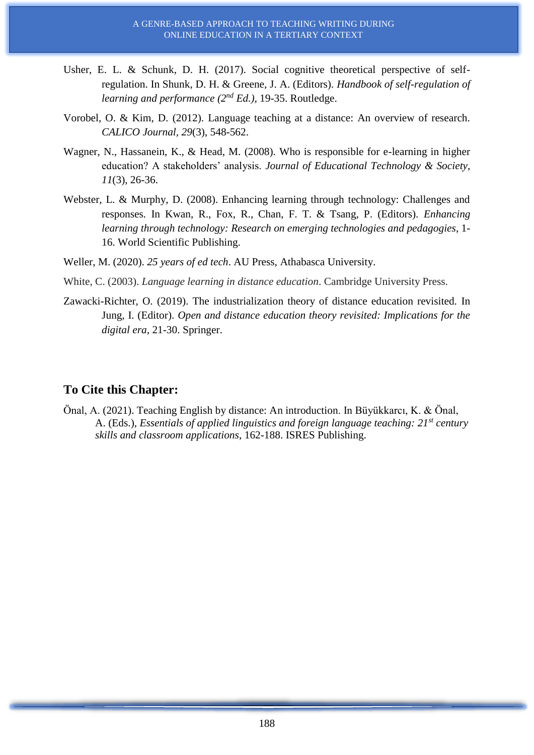- Usher, E. L. & Schunk, D. H. (2017). Social cognitive theoretical perspective of selfregulation. In Shunk, D. H. & Greene, J. A. (Editors). *Handbook of self-regulation of learning and performance (2nd Ed.),* 19-35. Routledge.
- Vorobel, O. & Kim, D. (2012). Language teaching at a distance: An overview of research. *CALICO Journal, 29*(3), 548-562.
- Wagner, N., Hassanein, K., & Head, M. (2008). Who is responsible for e-learning in higher education? A stakeholders' analysis. *Journal of Educational Technology & Society*, *11*(3), 26-36.
- Webster, L. & Murphy, D. (2008). Enhancing learning through technology: Challenges and responses*.* In Kwan, R., Fox, R., Chan, F. T. & Tsang, P. (Editors). *Enhancing learning through technology: Research on emerging technologies and pedagogies*, 1- 16. World Scientific Publishing.
- Weller, M. (2020). *25 years of ed tech*. AU Press, Athabasca University.
- White, C. (2003). *Language learning in distance education*. Cambridge University Press.
- Zawacki-Richter, O. (2019). The industrialization theory of distance education revisited*.* In Jung, I. (Editor). *Open and distance education theory revisited: Implications for the digital era*, 21-30. Springer.

# **To Cite this Chapter:**

Önal, A. (2021). Teaching English by distance: An introduction. In Büyükkarcı, K. & Önal, A. (Eds.), *Essentials of applied linguistics and foreign language teaching: 21st century skills and classroom applications*, 162-188. ISRES Publishing.